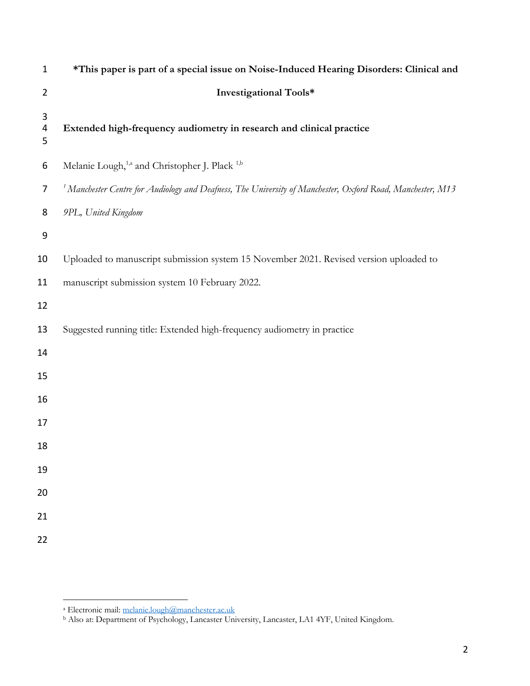| $\mathbf{1}$   | *This paper is part of a special issue on Noise-Induced Hearing Disorders: Clinical and                               |
|----------------|-----------------------------------------------------------------------------------------------------------------------|
| $\overline{2}$ | Investigational Tools*                                                                                                |
| 3<br>4<br>5    | Extended high-frequency audiometry in research and clinical practice                                                  |
| 6              | Melanie Lough, <sup>1,a</sup> and Christopher J. Plack <sup>1,b</sup>                                                 |
| 7              | <sup>1</sup> Manchester Centre for Audiology and Deafness, The University of Manchester, Oxford Road, Manchester, M13 |
| 8              | 9PL, United Kingdom                                                                                                   |
| 9              |                                                                                                                       |
| 10             | Uploaded to manuscript submission system 15 November 2021. Revised version uploaded to                                |
| 11             | manuscript submission system 10 February 2022.                                                                        |
| 12             |                                                                                                                       |
| 13             | Suggested running title: Extended high-frequency audiometry in practice                                               |
| 14             |                                                                                                                       |
| 15             |                                                                                                                       |
| 16             |                                                                                                                       |
| 17             |                                                                                                                       |
| 18             |                                                                                                                       |
| 19             |                                                                                                                       |
| 20             |                                                                                                                       |
| 21             |                                                                                                                       |
| 22             |                                                                                                                       |
|                |                                                                                                                       |

a Electronic mail: melanie.lough@manchester.ac.uk

<sup>b</sup> Also at: Department of Psychology, Lancaster University, Lancaster, LA1 4YF, United Kingdom.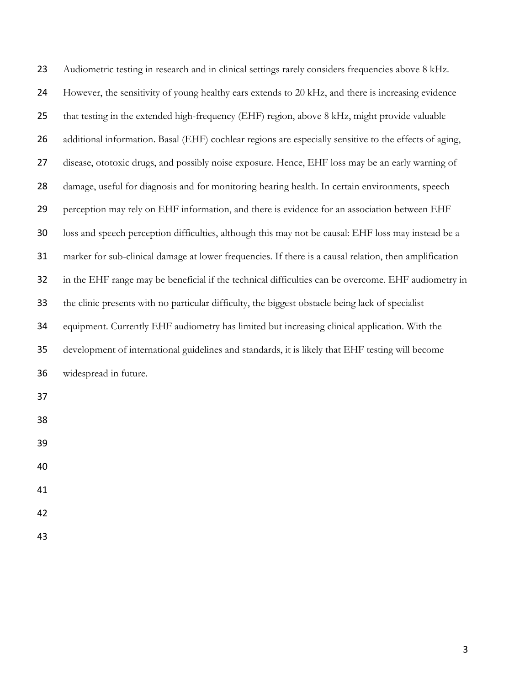| 23 | Audiometric testing in research and in clinical settings rarely considers frequencies above 8 kHz.     |
|----|--------------------------------------------------------------------------------------------------------|
| 24 | However, the sensitivity of young healthy ears extends to 20 kHz, and there is increasing evidence     |
| 25 | that testing in the extended high-frequency (EHF) region, above 8 kHz, might provide valuable          |
| 26 | additional information. Basal (EHF) cochlear regions are especially sensitive to the effects of aging, |
| 27 | disease, ototoxic drugs, and possibly noise exposure. Hence, EHF loss may be an early warning of       |
| 28 | damage, useful for diagnosis and for monitoring hearing health. In certain environments, speech        |
| 29 | perception may rely on EHF information, and there is evidence for an association between EHF           |
| 30 | loss and speech perception difficulties, although this may not be causal: EHF loss may instead be a    |
| 31 | marker for sub-clinical damage at lower frequencies. If there is a causal relation, then amplification |
| 32 | in the EHF range may be beneficial if the technical difficulties can be overcome. EHF audiometry in    |
| 33 | the clinic presents with no particular difficulty, the biggest obstacle being lack of specialist       |
| 34 | equipment. Currently EHF audiometry has limited but increasing clinical application. With the          |
| 35 | development of international guidelines and standards, it is likely that EHF testing will become       |
| 36 | widespread in future.                                                                                  |
| 37 |                                                                                                        |
| 38 |                                                                                                        |
| 39 |                                                                                                        |
| 40 |                                                                                                        |
| 41 |                                                                                                        |
| 42 |                                                                                                        |
| 43 |                                                                                                        |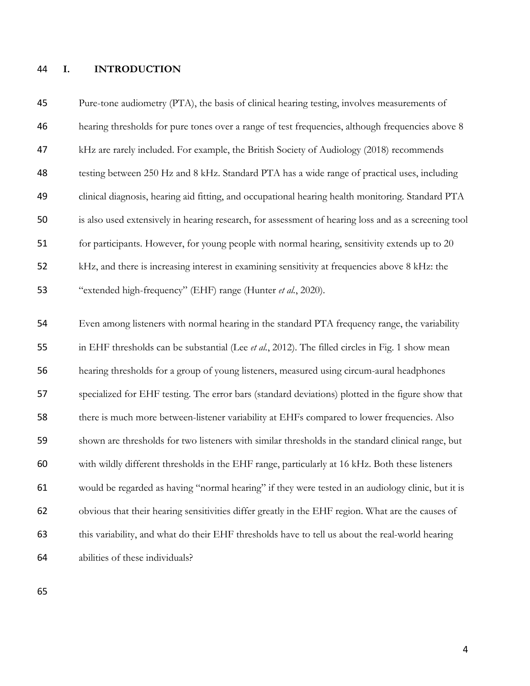### **I. INTRODUCTION**

| 45 | Pure-tone audiometry (PTA), the basis of clinical hearing testing, involves measurements of          |
|----|------------------------------------------------------------------------------------------------------|
| 46 | hearing thresholds for pure tones over a range of test frequencies, although frequencies above 8     |
| 47 | kHz are rarely included. For example, the British Society of Audiology (2018) recommends             |
| 48 | testing between 250 Hz and 8 kHz. Standard PTA has a wide range of practical uses, including         |
| 49 | clinical diagnosis, hearing aid fitting, and occupational hearing health monitoring. Standard PTA    |
| 50 | is also used extensively in hearing research, for assessment of hearing loss and as a screening tool |
| 51 | for participants. However, for young people with normal hearing, sensitivity extends up to 20        |
| 52 | kHz, and there is increasing interest in examining sensitivity at frequencies above 8 kHz: the       |
| 53 | "extended high-frequency" (EHF) range (Hunter et al., 2020).                                         |
|    |                                                                                                      |
| 54 | Even among listeners with normal hearing in the standard PTA frequency range, the variability        |
| 55 | in EHF thresholds can be substantial (Lee et al., 2012). The filled circles in Fig. 1 show mean      |
| 56 | hearing thresholds for a group of young listeners, measured using circum-aural headphones            |
| 57 | specialized for EHF testing. The error bars (standard deviations) plotted in the figure show that    |
| 58 | there is much more between-listener variability at EHFs compared to lower frequencies. Also          |
| 59 | shown are thresholds for two listeners with similar thresholds in the standard clinical range, but   |
| 60 | with wildly different thresholds in the EHF range, particularly at 16 kHz. Both these listeners      |
| 61 | would be regarded as having "normal hearing" if they were tested in an audiology clinic, but it is   |
| 62 | obvious that their hearing sensitivities differ greatly in the EHF region. What are the causes of    |
| 63 | this variability, and what do their EHF thresholds have to tell us about the real-world hearing      |
| 64 | abilities of these individuals?                                                                      |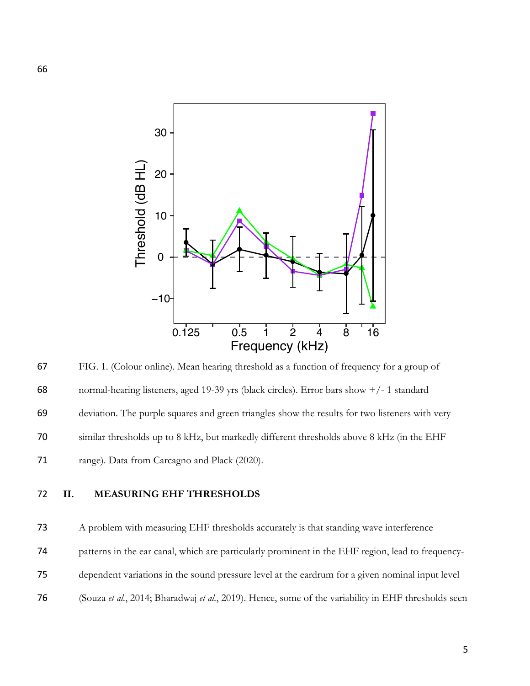

67 FIG. 1. (Colour online). Mean hearing threshold as a function of frequency for a group of 68 normal-hearing listeners, aged 19-39 yrs (black circles). Error bars show +/- 1 standard 69 deviation. The purple squares and green triangles show the results for two listeners with very 70 similar thresholds up to 8 kHz, but markedly different thresholds above 8 kHz (in the EHF 71 range). Data from Carcagno and Plack (2020).

### 72 **II. MEASURING EHF THRESHOLDS**

 A problem with measuring EHF thresholds accurately is that standing wave interference patterns in the ear canal, which are particularly prominent in the EHF region, lead to frequency- dependent variations in the sound pressure level at the eardrum for a given nominal input level (Souza *et al.*, 2014; Bharadwaj *et al.*, 2019). Hence, some of the variability in EHF thresholds seen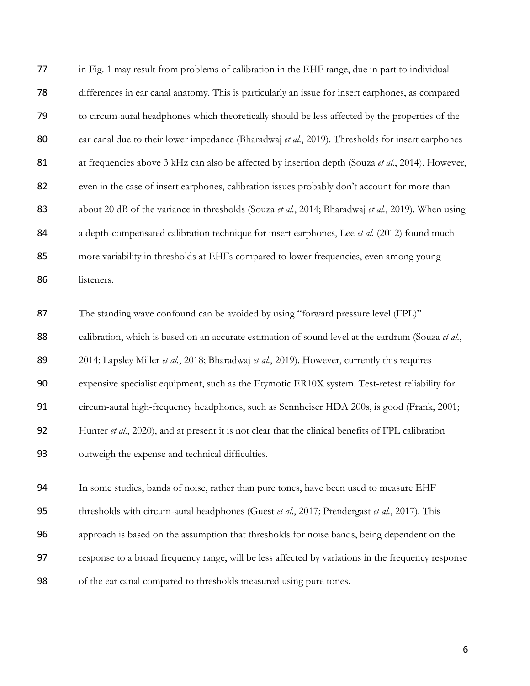| 77       | in Fig. 1 may result from problems of calibration in the EHF range, due in part to individual                                                                                           |
|----------|-----------------------------------------------------------------------------------------------------------------------------------------------------------------------------------------|
| 78       | differences in ear canal anatomy. This is particularly an issue for insert earphones, as compared                                                                                       |
| 79       | to circum-aural headphones which theoretically should be less affected by the properties of the                                                                                         |
| 80       | ear canal due to their lower impedance (Bharadwaj et al., 2019). Thresholds for insert earphones                                                                                        |
| 81       | at frequencies above 3 kHz can also be affected by insertion depth (Souza et al., 2014). However,                                                                                       |
| 82       | even in the case of insert earphones, calibration issues probably don't account for more than                                                                                           |
| 83       | about 20 dB of the variance in thresholds (Souza et al., 2014; Bharadwaj et al., 2019). When using                                                                                      |
| 84       | a depth-compensated calibration technique for insert earphones, Lee et al. (2012) found much                                                                                            |
| 85       | more variability in thresholds at EHFs compared to lower frequencies, even among young                                                                                                  |
| 86       | listeners.                                                                                                                                                                              |
| 87<br>88 | The standing wave confound can be avoided by using "forward pressure level (FPL)"<br>calibration, which is based on an accurate estimation of sound level at the eardrum (Souza et al., |
| 89       | 2014; Lapsley Miller et al., 2018; Bharadwaj et al., 2019). However, currently this requires                                                                                            |
| 90       | expensive specialist equipment, such as the Etymotic ER10X system. Test-retest reliability for                                                                                          |
| 91       | circum-aural high-frequency headphones, such as Sennheiser HDA 200s, is good (Frank, 2001;                                                                                              |
| 92       | Hunter et al., 2020), and at present it is not clear that the clinical benefits of FPL calibration                                                                                      |
| 93       | outweigh the expense and technical difficulties.                                                                                                                                        |
| 94       | In some studies, bands of noise, rather than pure tones, have been used to measure EHF                                                                                                  |
| 95       | thresholds with circum-aural headphones (Guest et al., 2017; Prendergast et al., 2017). This                                                                                            |
| 96       | approach is based on the assumption that thresholds for noise bands, being dependent on the                                                                                             |
| 97       | response to a broad frequency range, will be less affected by variations in the frequency response                                                                                      |

of the ear canal compared to thresholds measured using pure tones.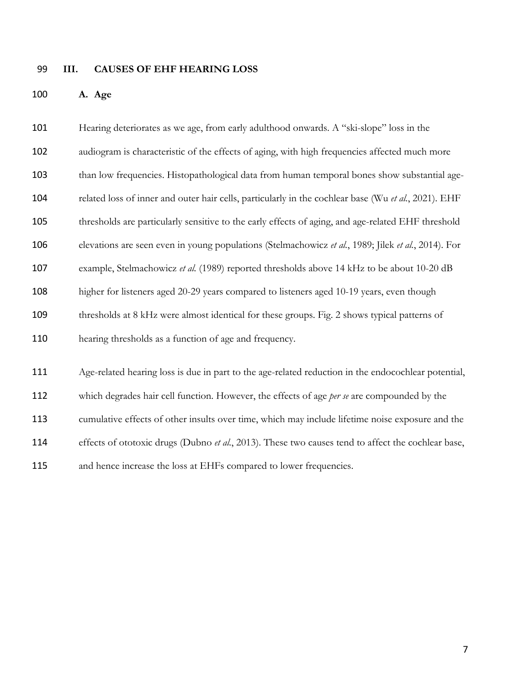#### **III. CAUSES OF EHF HEARING LOSS**

**A. Age**

 Hearing deteriorates as we age, from early adulthood onwards. A "ski-slope" loss in the audiogram is characteristic of the effects of aging, with high frequencies affected much more than low frequencies. Histopathological data from human temporal bones show substantial age- related loss of inner and outer hair cells, particularly in the cochlear base (Wu *et al.*, 2021). EHF thresholds are particularly sensitive to the early effects of aging, and age-related EHF threshold elevations are seen even in young populations (Stelmachowicz *et al.*, 1989; Jilek *et al.*, 2014). For example, Stelmachowicz *et al.* (1989) reported thresholds above 14 kHz to be about 10-20 dB higher for listeners aged 20-29 years compared to listeners aged 10-19 years, even though thresholds at 8 kHz were almost identical for these groups. Fig. 2 shows typical patterns of hearing thresholds as a function of age and frequency. Age-related hearing loss is due in part to the age-related reduction in the endocochlear potential, which degrades hair cell function. However, the effects of age *per se* are compounded by the cumulative effects of other insults over time, which may include lifetime noise exposure and the effects of ototoxic drugs (Dubno *et al.*, 2013). These two causes tend to affect the cochlear base,

and hence increase the loss at EHFs compared to lower frequencies.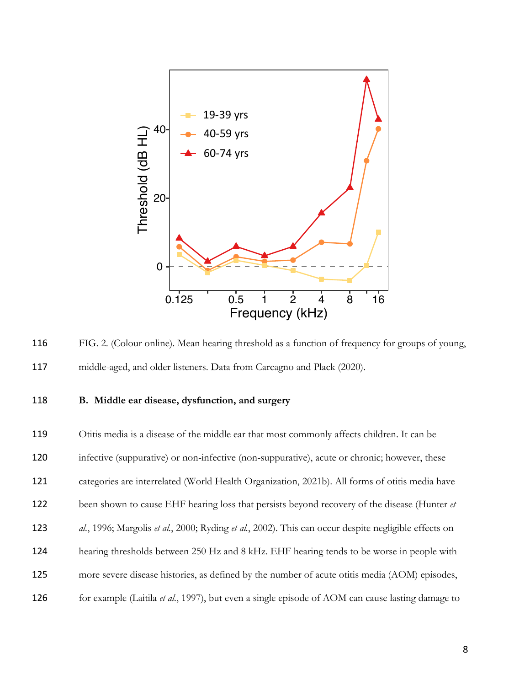

116 FIG. 2. (Colour online). Mean hearing threshold as a function of frequency for groups of young, 117 middle-aged, and older listeners. Data from Carcagno and Plack (2020).

### 118 **B. Middle ear disease, dysfunction, and surgery**

 Otitis media is a disease of the middle ear that most commonly affects children. It can be infective (suppurative) or non-infective (non-suppurative), acute or chronic; however, these categories are interrelated (World Health Organization, 2021b). All forms of otitis media have been shown to cause EHF hearing loss that persists beyond recovery of the disease (Hunter *et al.*, 1996; Margolis *et al.*, 2000; Ryding *et al.*, 2002). This can occur despite negligible effects on hearing thresholds between 250 Hz and 8 kHz. EHF hearing tends to be worse in people with more severe disease histories, as defined by the number of acute otitis media (AOM) episodes, for example (Laitila *et al.*, 1997), but even a single episode of AOM can cause lasting damage to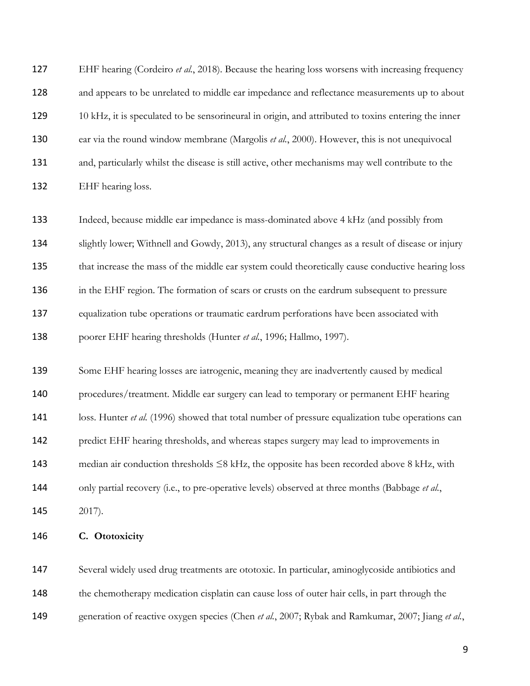EHF hearing (Cordeiro *et al.*, 2018). Because the hearing loss worsens with increasing frequency and appears to be unrelated to middle ear impedance and reflectance measurements up to about 129 10 kHz, it is speculated to be sensorineural in origin, and attributed to toxins entering the inner ear via the round window membrane (Margolis *et al.*, 2000). However, this is not unequivocal and, particularly whilst the disease is still active, other mechanisms may well contribute to the EHF hearing loss.

 Indeed, because middle ear impedance is mass-dominated above 4 kHz (and possibly from slightly lower; Withnell and Gowdy, 2013), any structural changes as a result of disease or injury that increase the mass of the middle ear system could theoretically cause conductive hearing loss 136 in the EHF region. The formation of scars or crusts on the eardrum subsequent to pressure equalization tube operations or traumatic eardrum perforations have been associated with poorer EHF hearing thresholds (Hunter *et al.*, 1996; Hallmo, 1997).

 Some EHF hearing losses are iatrogenic, meaning they are inadvertently caused by medical procedures/treatment. Middle ear surgery can lead to temporary or permanent EHF hearing 141 loss. Hunter *et al.* (1996) showed that total number of pressure equalization tube operations can predict EHF hearing thresholds, and whereas stapes surgery may lead to improvements in 143 median air conduction thresholds  $\leq$ 8 kHz, the opposite has been recorded above 8 kHz, with only partial recovery (i.e., to pre-operative levels) observed at three months (Babbage *et al.*, 2017).

**C. Ototoxicity**

 Several widely used drug treatments are ototoxic. In particular, aminoglycoside antibiotics and the chemotherapy medication cisplatin can cause loss of outer hair cells, in part through the generation of reactive oxygen species (Chen *et al.*, 2007; Rybak and Ramkumar, 2007; Jiang *et al.*,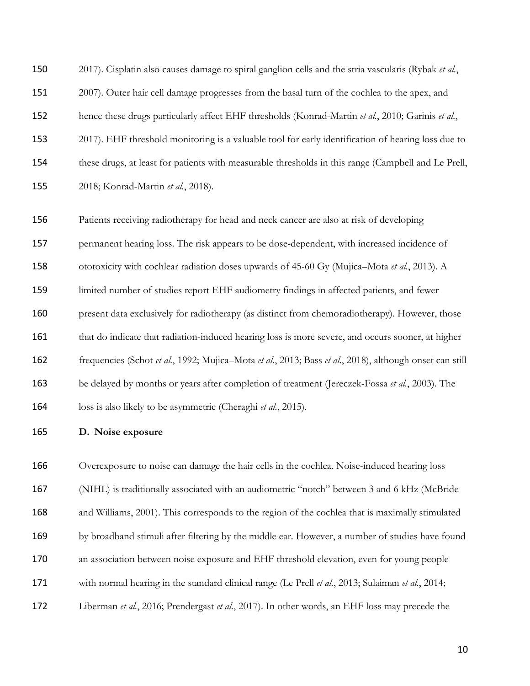2017). Cisplatin also causes damage to spiral ganglion cells and the stria vascularis (Rybak *et al.*, 2007). Outer hair cell damage progresses from the basal turn of the cochlea to the apex, and hence these drugs particularly affect EHF thresholds (Konrad-Martin *et al.*, 2010; Garinis *et al.*, 2017). EHF threshold monitoring is a valuable tool for early identification of hearing loss due to these drugs, at least for patients with measurable thresholds in this range (Campbell and Le Prell, 2018; Konrad-Martin *et al.*, 2018).

 Patients receiving radiotherapy for head and neck cancer are also at risk of developing permanent hearing loss. The risk appears to be dose-dependent, with increased incidence of ototoxicity with cochlear radiation doses upwards of 45-60 Gy (Mujica–Mota *et al.*, 2013). A limited number of studies report EHF audiometry findings in affected patients, and fewer present data exclusively for radiotherapy (as distinct from chemoradiotherapy). However, those 161 that do indicate that radiation-induced hearing loss is more severe, and occurs sooner, at higher frequencies (Schot *et al.*, 1992; Mujica–Mota *et al.*, 2013; Bass *et al.*, 2018), although onset can still be delayed by months or years after completion of treatment (Jereczek-Fossa *et al.*, 2003). The loss is also likely to be asymmetric (Cheraghi *et al.*, 2015).

**D. Noise exposure**

 Overexposure to noise can damage the hair cells in the cochlea. Noise-induced hearing loss (NIHL) is traditionally associated with an audiometric "notch" between 3 and 6 kHz (McBride and Williams, 2001). This corresponds to the region of the cochlea that is maximally stimulated by broadband stimuli after filtering by the middle ear. However, a number of studies have found an association between noise exposure and EHF threshold elevation, even for young people with normal hearing in the standard clinical range (Le Prell *et al.*, 2013; Sulaiman *et al.*, 2014; Liberman *et al.*, 2016; Prendergast *et al.*, 2017). In other words, an EHF loss may precede the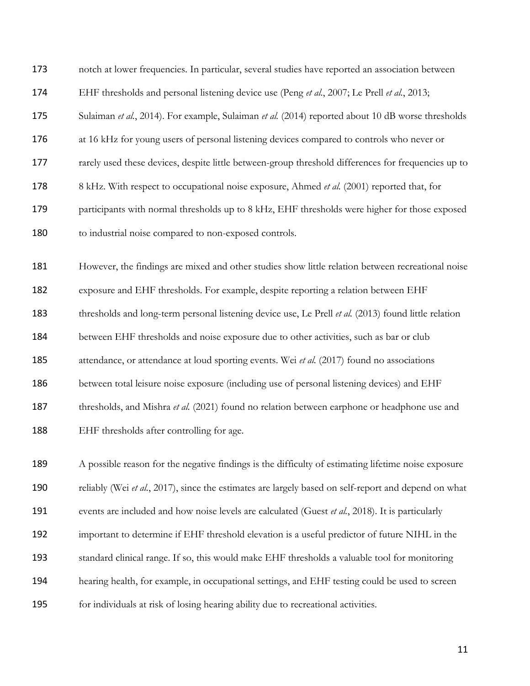| 173 | notch at lower frequencies. In particular, several studies have reported an association between      |
|-----|------------------------------------------------------------------------------------------------------|
| 174 | EHF thresholds and personal listening device use (Peng et al., 2007; Le Prell et al., 2013;          |
| 175 | Sulaiman et al., 2014). For example, Sulaiman et al. (2014) reported about 10 dB worse thresholds    |
| 176 | at 16 kHz for young users of personal listening devices compared to controls who never or            |
| 177 | rarely used these devices, despite little between-group threshold differences for frequencies up to  |
| 178 | 8 kHz. With respect to occupational noise exposure, Ahmed et al. (2001) reported that, for           |
| 179 | participants with normal thresholds up to 8 kHz, EHF thresholds were higher for those exposed        |
| 180 | to industrial noise compared to non-exposed controls.                                                |
| 181 | However, the findings are mixed and other studies show little relation between recreational noise    |
| 182 | exposure and EHF thresholds. For example, despite reporting a relation between EHF                   |
| 183 | thresholds and long-term personal listening device use, Le Prell et al. (2013) found little relation |
| 184 | between EHF thresholds and noise exposure due to other activities, such as bar or club               |
| 185 | attendance, or attendance at loud sporting events. Wei et al. (2017) found no associations           |
| 186 | between total leisure noise exposure (including use of personal listening devices) and EHF           |
| 187 | thresholds, and Mishra et al. (2021) found no relation between earphone or headphone use and         |
| 188 | EHF thresholds after controlling for age.                                                            |
| 189 | A possible reason for the negative findings is the difficulty of estimating lifetime noise exposure  |
| 190 | reliably (Wei et al., 2017), since the estimates are largely based on self-report and depend on what |
| 191 | events are included and how noise levels are calculated (Guest et al., 2018). It is particularly     |
| 192 | important to determine if EHF threshold elevation is a useful predictor of future NIHL in the        |
| 193 | standard clinical range. If so, this would make EHF thresholds a valuable tool for monitoring        |

hearing health, for example, in occupational settings, and EHF testing could be used to screen

for individuals at risk of losing hearing ability due to recreational activities.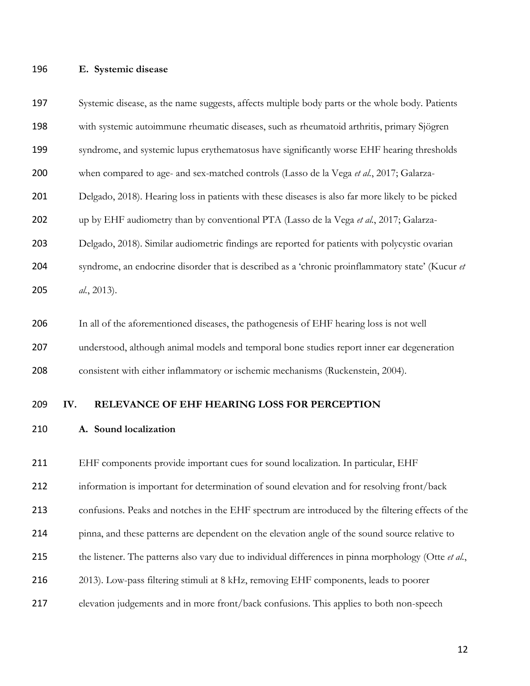### **E. Systemic disease**

 with systemic autoimmune rheumatic diseases, such as rheumatoid arthritis, primary Sjögren syndrome, and systemic lupus erythematosus have significantly worse EHF hearing thresholds when compared to age- and sex-matched controls (Lasso de la Vega *et al.*, 2017; Galarza- Delgado, 2018). Hearing loss in patients with these diseases is also far more likely to be picked up by EHF audiometry than by conventional PTA (Lasso de la Vega *et al.*, 2017; Galarza- Delgado, 2018). Similar audiometric findings are reported for patients with polycystic ovarian syndrome, an endocrine disorder that is described as a 'chronic proinflammatory state' (Kucur *et al.*, 2013). In all of the aforementioned diseases, the pathogenesis of EHF hearing loss is not well understood, although animal models and temporal bone studies report inner ear degeneration consistent with either inflammatory or ischemic mechanisms (Ruckenstein, 2004).

Systemic disease, as the name suggests, affects multiple body parts or the whole body. Patients

#### **IV. RELEVANCE OF EHF HEARING LOSS FOR PERCEPTION**

**A. Sound localization**

 EHF components provide important cues for sound localization. In particular, EHF information is important for determination of sound elevation and for resolving front/back confusions. Peaks and notches in the EHF spectrum are introduced by the filtering effects of the pinna, and these patterns are dependent on the elevation angle of the sound source relative to the listener. The patterns also vary due to individual differences in pinna morphology (Otte *et al.*, 2013). Low-pass filtering stimuli at 8 kHz, removing EHF components, leads to poorer elevation judgements and in more front/back confusions. This applies to both non-speech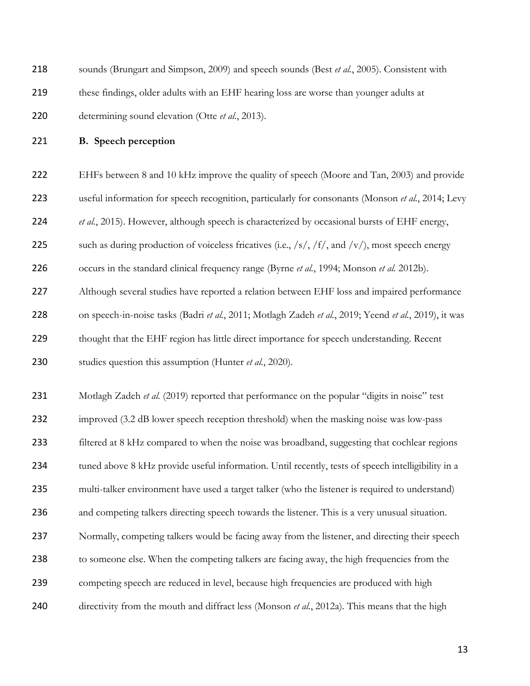| 218 | sounds (Brungart and Simpson, 2009) and speech sounds (Best et al., 2005). Consistent with            |
|-----|-------------------------------------------------------------------------------------------------------|
| 219 | these findings, older adults with an EHF hearing loss are worse than younger adults at                |
| 220 | determining sound elevation (Otte et al., 2013).                                                      |
| 221 | <b>B.</b> Speech perception                                                                           |
| 222 | EHFs between 8 and 10 kHz improve the quality of speech (Moore and Tan, 2003) and provide             |
| 223 | useful information for speech recognition, particularly for consonants (Monson et al., 2014; Levy     |
| 224 | et al., 2015). However, although speech is characterized by occasional bursts of EHF energy,          |
| 225 | such as during production of voiceless fricatives (i.e., /s/, /f/, and /v/), most speech energy       |
| 226 | occurs in the standard clinical frequency range (Byrne et al., 1994; Monson et al. 2012b).            |
| 227 | Although several studies have reported a relation between EHF loss and impaired performance           |
| 228 | on speech-in-noise tasks (Badri et al., 2011; Motlagh Zadeh et al., 2019; Yeend et al., 2019), it was |
| 229 | thought that the EHF region has little direct importance for speech understanding. Recent             |
| 230 | studies question this assumption (Hunter et al., 2020).                                               |
| 231 | Motlagh Zadeh et al. (2019) reported that performance on the popular "digits in noise" test           |
| 232 | improved (3.2 dB lower speech reception threshold) when the masking noise was low-pass                |
| 233 | filtered at 8 kHz compared to when the noise was broadband, suggesting that cochlear regions          |
| 234 | tuned above 8 kHz provide useful information. Until recently, tests of speech intelligibility in a    |
| 235 | multi-talker environment have used a target talker (who the listener is required to understand)       |
| 236 | and competing talkers directing speech towards the listener. This is a very unusual situation.        |
| 237 | Normally, competing talkers would be facing away from the listener, and directing their speech        |
| 238 | to someone else. When the competing talkers are facing away, the high frequencies from the            |
| 239 | competing speech are reduced in level, because high frequencies are produced with high                |
| 240 | directivity from the mouth and diffract less (Monson et al., 2012a). This means that the high         |
|     |                                                                                                       |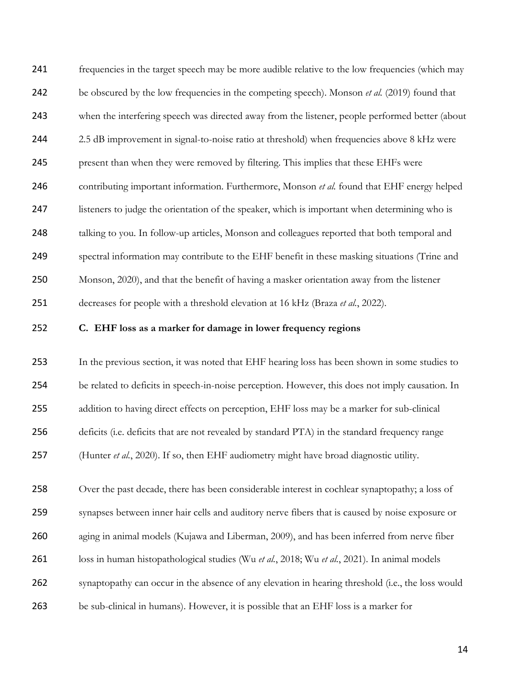frequencies in the target speech may be more audible relative to the low frequencies (which may be obscured by the low frequencies in the competing speech). Monson *et al.* (2019) found that 243 when the interfering speech was directed away from the listener, people performed better (about 2.5 dB improvement in signal-to-noise ratio at threshold) when frequencies above 8 kHz were present than when they were removed by filtering. This implies that these EHFs were contributing important information. Furthermore, Monson *et al.* found that EHF energy helped 247 listeners to judge the orientation of the speaker, which is important when determining who is 248 talking to you. In follow-up articles, Monson and colleagues reported that both temporal and spectral information may contribute to the EHF benefit in these masking situations (Trine and Monson, 2020), and that the benefit of having a masker orientation away from the listener decreases for people with a threshold elevation at 16 kHz (Braza *et al.*, 2022).

### **C. EHF loss as a marker for damage in lower frequency regions**

 In the previous section, it was noted that EHF hearing loss has been shown in some studies to be related to deficits in speech-in-noise perception. However, this does not imply causation. In addition to having direct effects on perception, EHF loss may be a marker for sub-clinical deficits (i.e. deficits that are not revealed by standard PTA) in the standard frequency range (Hunter *et al.*, 2020). If so, then EHF audiometry might have broad diagnostic utility.

 Over the past decade, there has been considerable interest in cochlear synaptopathy; a loss of synapses between inner hair cells and auditory nerve fibers that is caused by noise exposure or aging in animal models (Kujawa and Liberman, 2009), and has been inferred from nerve fiber loss in human histopathological studies (Wu *et al.*, 2018; Wu *et al.*, 2021). In animal models synaptopathy can occur in the absence of any elevation in hearing threshold (i.e., the loss would be sub-clinical in humans). However, it is possible that an EHF loss is a marker for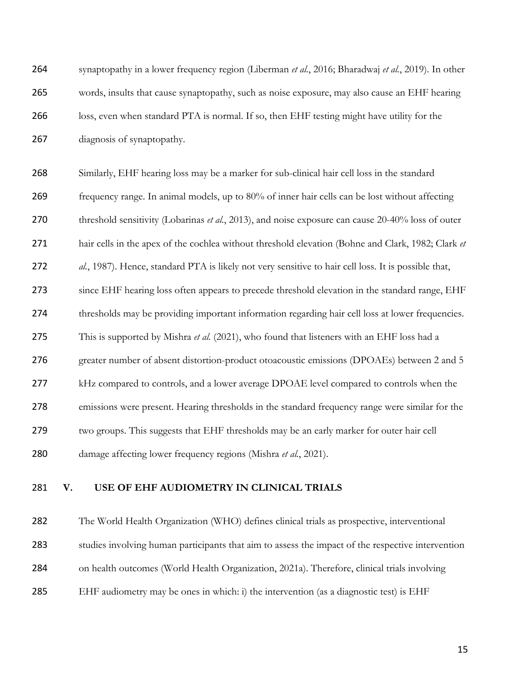| 264 | synaptopathy in a lower frequency region (Liberman et al., 2016; Bharadwaj et al., 2019). In other   |
|-----|------------------------------------------------------------------------------------------------------|
| 265 | words, insults that cause synaptopathy, such as noise exposure, may also cause an EHF hearing        |
| 266 | loss, even when standard PTA is normal. If so, then EHF testing might have utility for the           |
| 267 | diagnosis of synaptopathy.                                                                           |
| 268 | Similarly, EHF hearing loss may be a marker for sub-clinical hair cell loss in the standard          |
| 269 | frequency range. In animal models, up to 80% of inner hair cells can be lost without affecting       |
| 270 | threshold sensitivity (Lobarinas et al., 2013), and noise exposure can cause 20-40% loss of outer    |
| 271 | hair cells in the apex of the cochlea without threshold elevation (Bohne and Clark, 1982; Clark et   |
| 272 | al., 1987). Hence, standard PTA is likely not very sensitive to hair cell loss. It is possible that, |
| 273 | since EHF hearing loss often appears to precede threshold elevation in the standard range, EHF       |
| 274 | thresholds may be providing important information regarding hair cell loss at lower frequencies.     |
| 275 | This is supported by Mishra et al. (2021), who found that listeners with an EHF loss had a           |
| 276 | greater number of absent distortion-product otoacoustic emissions (DPOAEs) between 2 and 5           |
| 277 | kHz compared to controls, and a lower average DPOAE level compared to controls when the              |
| 278 | emissions were present. Hearing thresholds in the standard frequency range were similar for the      |
| 279 | two groups. This suggests that EHF thresholds may be an early marker for outer hair cell             |
| 280 | damage affecting lower frequency regions (Mishra et al., 2021).                                      |
|     |                                                                                                      |

**V. USE OF EHF AUDIOMETRY IN CLINICAL TRIALS**

 The World Health Organization (WHO) defines clinical trials as prospective, interventional studies involving human participants that aim to assess the impact of the respective intervention on health outcomes (World Health Organization, 2021a). Therefore, clinical trials involving

EHF audiometry may be ones in which: i) the intervention (as a diagnostic test) is EHF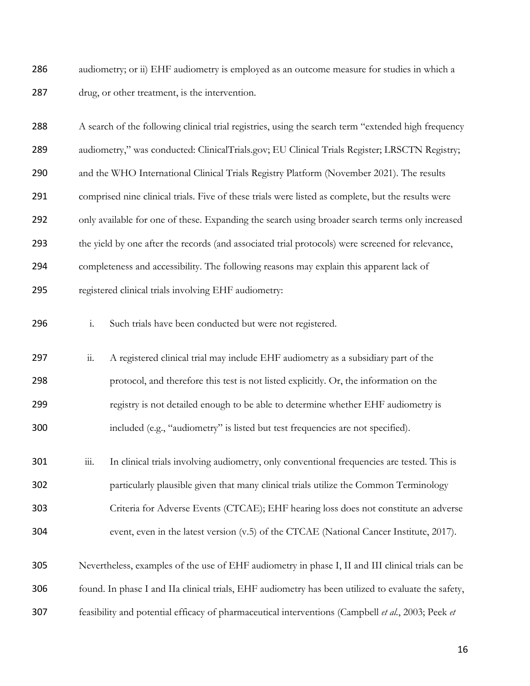286 audiometry; or ii) EHF audiometry is employed as an outcome measure for studies in which a drug, or other treatment, is the intervention.

 A search of the following clinical trial registries, using the search term "extended high frequency 289 audiometry," was conducted: ClinicalTrials.gov; EU Clinical Trials Register; LRSCTN Registry; 290 and the WHO International Clinical Trials Registry Platform (November 2021). The results comprised nine clinical trials. Five of these trials were listed as complete, but the results were 292 only available for one of these. Expanding the search using broader search terms only increased the yield by one after the records (and associated trial protocols) were screened for relevance, completeness and accessibility. The following reasons may explain this apparent lack of registered clinical trials involving EHF audiometry: i. Such trials have been conducted but were not registered. 297 ii. A registered clinical trial may include EHF audiometry as a subsidiary part of the protocol, and therefore this test is not listed explicitly. Or, the information on the registry is not detailed enough to be able to determine whether EHF audiometry is included (e.g., "audiometry" is listed but test frequencies are not specified). 301 iii. In clinical trials involving audiometry, only conventional frequencies are tested. This is particularly plausible given that many clinical trials utilize the Common Terminology Criteria for Adverse Events (CTCAE); EHF hearing loss does not constitute an adverse event, even in the latest version (v.5) of the CTCAE (National Cancer Institute, 2017). Nevertheless, examples of the use of EHF audiometry in phase I, II and III clinical trials can be

found. In phase I and IIa clinical trials, EHF audiometry has been utilized to evaluate the safety,

feasibility and potential efficacy of pharmaceutical interventions (Campbell *et al.*, 2003; Peek *et*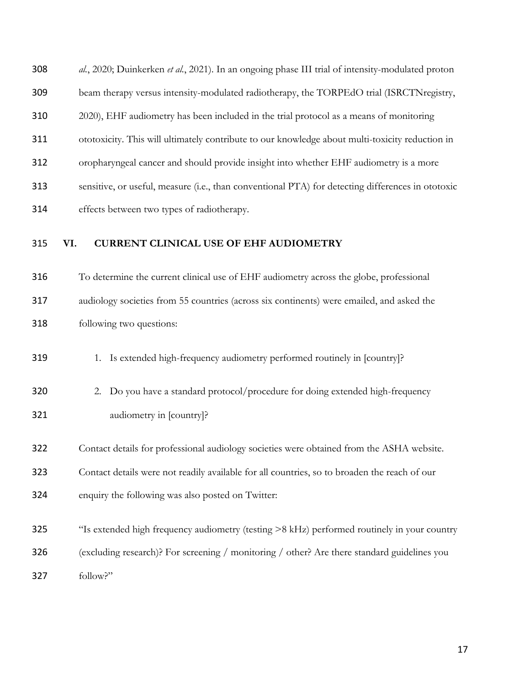*al.*, 2020; Duinkerken *et al.*, 2021). In an ongoing phase III trial of intensity-modulated proton beam therapy versus intensity-modulated radiotherapy, the TORPEdO trial (ISRCTNregistry, 2020), EHF audiometry has been included in the trial protocol as a means of monitoring ototoxicity. This will ultimately contribute to our knowledge about multi-toxicity reduction in oropharyngeal cancer and should provide insight into whether EHF audiometry is a more sensitive, or useful, measure (i.e., than conventional PTA) for detecting differences in ototoxic effects between two types of radiotherapy.

### **VI. CURRENT CLINICAL USE OF EHF AUDIOMETRY**

 To determine the current clinical use of EHF audiometry across the globe, professional audiology societies from 55 countries (across six continents) were emailed, and asked the following two questions:

319 1. Is extended high-frequency audiometry performed routinely in [country]?

320 2. Do you have a standard protocol/procedure for doing extended high-frequency audiometry in [country]?

Contact details for professional audiology societies were obtained from the ASHA website.

Contact details were not readily available for all countries, so to broaden the reach of our

enquiry the following was also posted on Twitter:

 "Is extended high frequency audiometry (testing >8 kHz) performed routinely in your country (excluding research)? For screening / monitoring / other? Are there standard guidelines you follow?"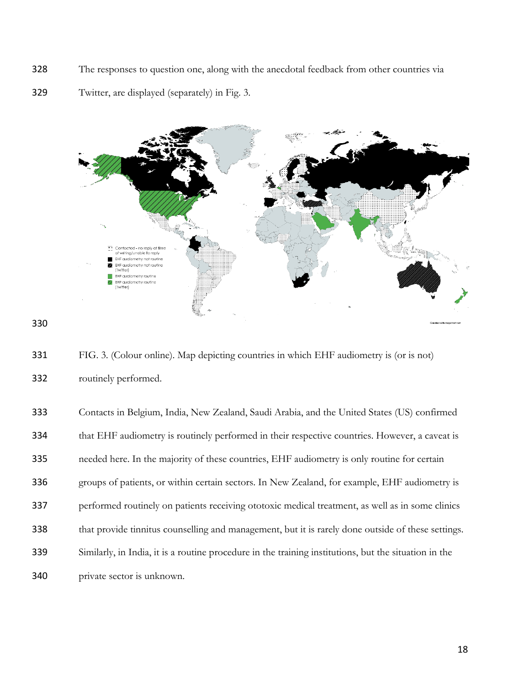- The responses to question one, along with the anecdotal feedback from other countries via
- Twitter, are displayed (separately) in Fig. 3.



 FIG. 3. (Colour online). Map depicting countries in which EHF audiometry is (or is not) routinely performed.

| 333 | Contacts in Belgium, India, New Zealand, Saudi Arabia, and the United States (US) confirmed           |
|-----|-------------------------------------------------------------------------------------------------------|
| 334 | that EHF audiometry is routinely performed in their respective countries. However, a caveat is        |
| 335 | needed here. In the majority of these countries, EHF audiometry is only routine for certain           |
| 336 | groups of patients, or within certain sectors. In New Zealand, for example, EHF audiometry is         |
| 337 | performed routinely on patients receiving ototoxic medical treatment, as well as in some clinics      |
| 338 | that provide tinnitus counselling and management, but it is rarely done outside of these settings.    |
| 339 | Similarly, in India, it is a routine procedure in the training institutions, but the situation in the |
| 340 | private sector is unknown.                                                                            |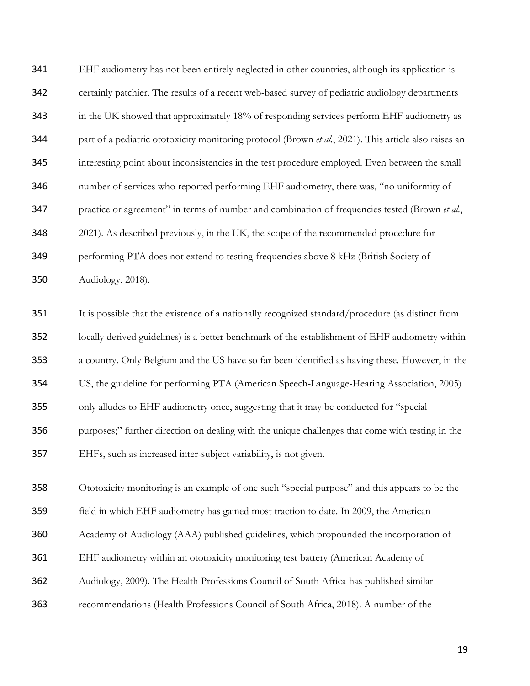EHF audiometry has not been entirely neglected in other countries, although its application is certainly patchier. The results of a recent web-based survey of pediatric audiology departments 343 in the UK showed that approximately 18% of responding services perform EHF audiometry as part of a pediatric ototoxicity monitoring protocol (Brown *et al.*, 2021). This article also raises an interesting point about inconsistencies in the test procedure employed. Even between the small number of services who reported performing EHF audiometry, there was, "no uniformity of practice or agreement" in terms of number and combination of frequencies tested (Brown *et al.*, 2021). As described previously, in the UK, the scope of the recommended procedure for performing PTA does not extend to testing frequencies above 8 kHz (British Society of Audiology, 2018).

 It is possible that the existence of a nationally recognized standard/procedure (as distinct from locally derived guidelines) is a better benchmark of the establishment of EHF audiometry within a country. Only Belgium and the US have so far been identified as having these. However, in the US, the guideline for performing PTA (American Speech-Language-Hearing Association, 2005) only alludes to EHF audiometry once, suggesting that it may be conducted for "special purposes;" further direction on dealing with the unique challenges that come with testing in the EHFs, such as increased inter-subject variability, is not given.

Ototoxicity monitoring is an example of one such "special purpose" and this appears to be the

- field in which EHF audiometry has gained most traction to date. In 2009, the American
- Academy of Audiology (AAA) published guidelines, which propounded the incorporation of
- EHF audiometry within an ototoxicity monitoring test battery (American Academy of
- Audiology, 2009). The Health Professions Council of South Africa has published similar
- recommendations (Health Professions Council of South Africa, 2018). A number of the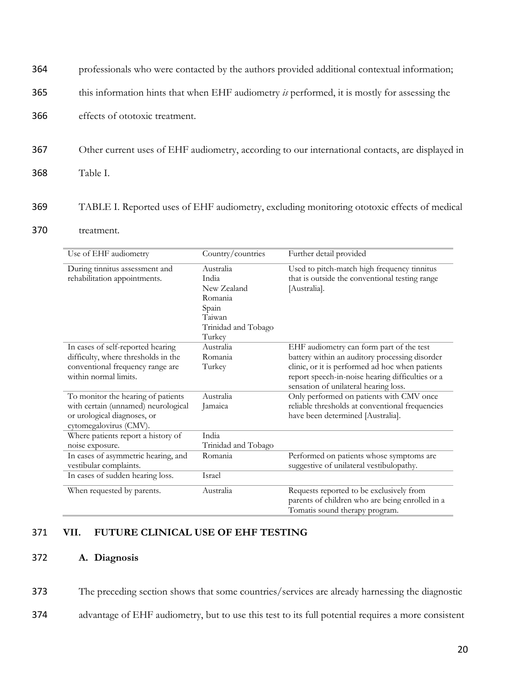| 364 | professionals who were contacted by the authors provided additional contextual information;     |
|-----|-------------------------------------------------------------------------------------------------|
| 365 | this information hints that when EHF audiometry is performed, it is mostly for assessing the    |
| 366 | effects of ototoxic treatment.                                                                  |
| 367 | Other current uses of EHF audiometry, according to our international contacts, are displayed in |
| 368 | Table I.                                                                                        |
| 369 | TABLE I. Reported uses of EHF audiometry, excluding monitoring ototoxic effects of medical      |

#### 370 treatment.

| Use of EHF audiometry                                                                                                                 | Country/countries                                                                                | Further detail provided                                                                                                                                                                                                                    |
|---------------------------------------------------------------------------------------------------------------------------------------|--------------------------------------------------------------------------------------------------|--------------------------------------------------------------------------------------------------------------------------------------------------------------------------------------------------------------------------------------------|
| During tinnitus assessment and<br>rehabilitation appointments.                                                                        | Australia<br>India<br>New Zealand<br>Romania<br>Spain<br>Taiwan<br>Trinidad and Tobago<br>Turkey | Used to pitch-match high frequency tinnitus<br>that is outside the conventional testing range<br>[Australia].                                                                                                                              |
| In cases of self-reported hearing<br>difficulty, where thresholds in the<br>conventional frequency range are<br>within normal limits. | Australia<br>Romania<br>Turkey                                                                   | EHF audiometry can form part of the test<br>battery within an auditory processing disorder<br>clinic, or it is performed ad hoc when patients<br>report speech-in-noise hearing difficulties or a<br>sensation of unilateral hearing loss. |
| To monitor the hearing of patients<br>with certain (unnamed) neurological<br>or urological diagnoses, or<br>cytomegalovirus (CMV).    | Australia<br>Jamaica                                                                             | Only performed on patients with CMV once<br>reliable thresholds at conventional frequencies<br>have been determined [Australia].                                                                                                           |
| Where patients report a history of<br>noise exposure.                                                                                 | India<br>Trinidad and Tobago                                                                     |                                                                                                                                                                                                                                            |
| In cases of asymmetric hearing, and<br>vestibular complaints.                                                                         | Romania                                                                                          | Performed on patients whose symptoms are<br>suggestive of unilateral vestibulopathy.                                                                                                                                                       |
| In cases of sudden hearing loss.                                                                                                      | Israel                                                                                           |                                                                                                                                                                                                                                            |
| When requested by parents.                                                                                                            | Australia                                                                                        | Requests reported to be exclusively from<br>parents of children who are being enrolled in a<br>Tomatis sound therapy program.                                                                                                              |

### 371 **VII. FUTURE CLINICAL USE OF EHF TESTING**

### 372 **A. Diagnosis**

373 The preceding section shows that some countries/services are already harnessing the diagnostic

374 advantage of EHF audiometry, but to use this test to its full potential requires a more consistent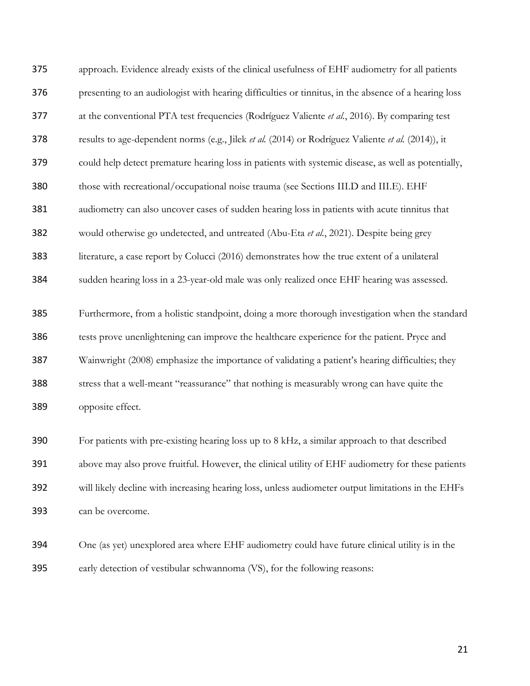| 375 | approach. Evidence already exists of the clinical usefulness of EHF audiometry for all patients      |
|-----|------------------------------------------------------------------------------------------------------|
| 376 | presenting to an audiologist with hearing difficulties or tinnitus, in the absence of a hearing loss |
| 377 | at the conventional PTA test frequencies (Rodríguez Valiente et al., 2016). By comparing test        |
| 378 | results to age-dependent norms (e.g., Jilek et al. (2014) or Rodríguez Valiente et al. (2014)), it   |
| 379 | could help detect premature hearing loss in patients with systemic disease, as well as potentially,  |
| 380 | those with recreational/occupational noise trauma (see Sections III.D and III.E). EHF                |
| 381 | audiometry can also uncover cases of sudden hearing loss in patients with acute tinnitus that        |
| 382 | would otherwise go undetected, and untreated (Abu-Eta et al., 2021). Despite being grey              |
| 383 | literature, a case report by Colucci (2016) demonstrates how the true extent of a unilateral         |
| 384 | sudden hearing loss in a 23-year-old male was only realized once EHF hearing was assessed.           |
| 385 | Furthermore, from a holistic standpoint, doing a more thorough investigation when the standard       |
| 386 | tests prove unenlightening can improve the healthcare experience for the patient. Pryce and          |
| 387 | Wainwright (2008) emphasize the importance of validating a patient's hearing difficulties; they      |
| 388 | stress that a well-meant "reassurance" that nothing is measurably wrong can have quite the           |
| 389 | opposite effect.                                                                                     |
| 390 | For patients with pre-existing hearing loss up to 8 kHz, a similar approach to that described        |
|     |                                                                                                      |
| 391 | above may also prove fruitful. However, the clinical utility of EHF audiometry for these patients    |
| 392 | will likely decline with increasing hearing loss, unless audiometer output limitations in the EHFs   |
| 393 | can be overcome.                                                                                     |
| 394 | One (as yet) unexplored area where EHF audiometry could have future clinical utility is in the       |

early detection of vestibular schwannoma (VS), for the following reasons: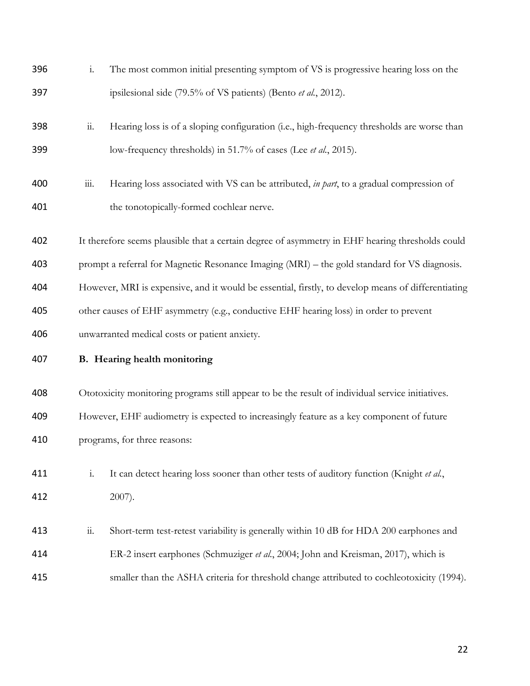| 396 | $\mathbf{i}$ .         | The most common initial presenting symptom of VS is progressive hearing loss on the                |
|-----|------------------------|----------------------------------------------------------------------------------------------------|
| 397 |                        | ipsilesional side (79.5% of VS patients) (Bento et al., 2012).                                     |
| 398 | $\dddot{\mathbf{u}}$ . | Hearing loss is of a sloping configuration (i.e., high-frequency thresholds are worse than         |
| 399 |                        | low-frequency thresholds) in 51.7% of cases (Lee <i>et al.</i> , 2015).                            |
| 400 | $\dddot{\mathbf{m}}$ . | Hearing loss associated with VS can be attributed, in part, to a gradual compression of            |
| 401 |                        | the tonotopically-formed cochlear nerve.                                                           |
| 402 |                        | It therefore seems plausible that a certain degree of asymmetry in EHF hearing thresholds could    |
| 403 |                        | prompt a referral for Magnetic Resonance Imaging (MRI) - the gold standard for VS diagnosis.       |
| 404 |                        | However, MRI is expensive, and it would be essential, firstly, to develop means of differentiating |
| 405 |                        | other causes of EHF asymmetry (e.g., conductive EHF hearing loss) in order to prevent              |
|     |                        |                                                                                                    |
| 406 |                        | unwarranted medical costs or patient anxiety.                                                      |
| 407 |                        | B. Hearing health monitoring                                                                       |
| 408 |                        | Ototoxicity monitoring programs still appear to be the result of individual service initiatives.   |
| 409 |                        | However, EHF audiometry is expected to increasingly feature as a key component of future           |
| 410 |                        | programs, for three reasons:                                                                       |
| 411 | $\mathbf{i}$ .         | It can detect hearing loss sooner than other tests of auditory function (Knight et al.,            |
| 412 |                        | $2007$ ).                                                                                          |
| 413 | $\dddot{\mathbf{u}}$ . | Short-term test-retest variability is generally within 10 dB for HDA 200 earphones and             |
| 414 |                        | ER-2 insert earphones (Schmuziger et al., 2004; John and Kreisman, 2017), which is                 |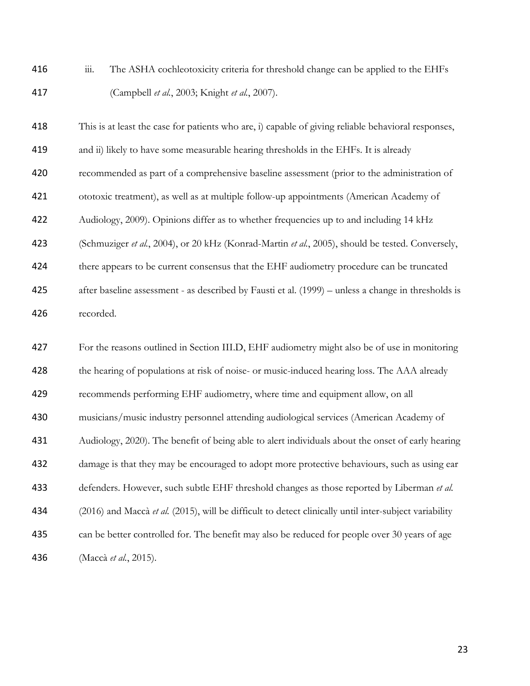416 iii. The ASHA cochleotoxicity criteria for threshold change can be applied to the EHFs (Campbell *et al.*, 2003; Knight *et al.*, 2007).

 This is at least the case for patients who are, i) capable of giving reliable behavioral responses, and ii) likely to have some measurable hearing thresholds in the EHFs. It is already recommended as part of a comprehensive baseline assessment (prior to the administration of ototoxic treatment), as well as at multiple follow-up appointments (American Academy of Audiology, 2009). Opinions differ as to whether frequencies up to and including 14 kHz (Schmuziger *et al.*, 2004), or 20 kHz (Konrad-Martin *et al.*, 2005), should be tested. Conversely, 424 there appears to be current consensus that the EHF audiometry procedure can be truncated after baseline assessment - as described by Fausti et al. (1999) – unless a change in thresholds is recorded. For the reasons outlined in Section III.D, EHF audiometry might also be of use in monitoring 428 the hearing of populations at risk of noise- or music-induced hearing loss. The AAA already recommends performing EHF audiometry, where time and equipment allow, on all musicians/music industry personnel attending audiological services (American Academy of Audiology, 2020). The benefit of being able to alert individuals about the onset of early hearing damage is that they may be encouraged to adopt more protective behaviours, such as using ear defenders. However, such subtle EHF threshold changes as those reported by Liberman *et al.* (2016) and Maccà *et al.* (2015), will be difficult to detect clinically until inter-subject variability

 can be better controlled for. The benefit may also be reduced for people over 30 years of age (Maccà *et al.*, 2015).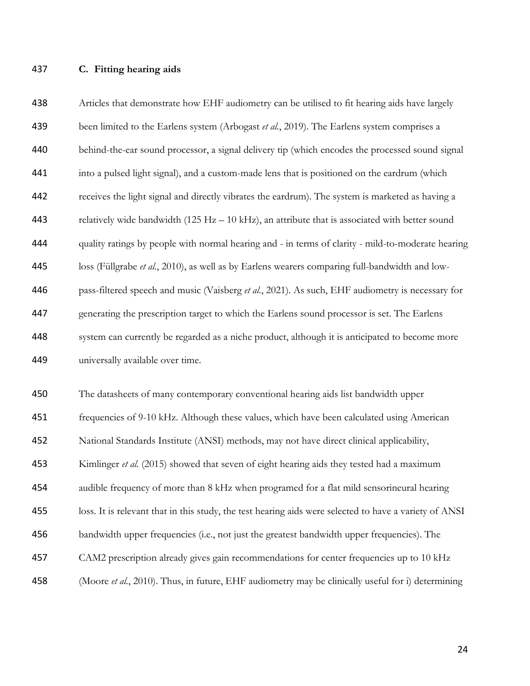#### **C. Fitting hearing aids**

 Articles that demonstrate how EHF audiometry can be utilised to fit hearing aids have largely been limited to the Earlens system (Arbogast *et al.*, 2019). The Earlens system comprises a behind-the-ear sound processor, a signal delivery tip (which encodes the processed sound signal into a pulsed light signal), and a custom-made lens that is positioned on the eardrum (which receives the light signal and directly vibrates the eardrum). The system is marketed as having a relatively wide bandwidth (125 Hz – 10 kHz), an attribute that is associated with better sound quality ratings by people with normal hearing and - in terms of clarity - mild-to-moderate hearing loss (Füllgrabe *et al.*, 2010), as well as by Earlens wearers comparing full-bandwidth and low- pass-filtered speech and music (Vaisberg *et al.*, 2021). As such, EHF audiometry is necessary for generating the prescription target to which the Earlens sound processor is set. The Earlens system can currently be regarded as a niche product, although it is anticipated to become more universally available over time.

 The datasheets of many contemporary conventional hearing aids list bandwidth upper frequencies of 9-10 kHz. Although these values, which have been calculated using American National Standards Institute (ANSI) methods, may not have direct clinical applicability, Kimlinger *et al.* (2015) showed that seven of eight hearing aids they tested had a maximum audible frequency of more than 8 kHz when programed for a flat mild sensorineural hearing loss. It is relevant that in this study, the test hearing aids were selected to have a variety of ANSI bandwidth upper frequencies (i.e., not just the greatest bandwidth upper frequencies). The CAM2 prescription already gives gain recommendations for center frequencies up to 10 kHz (Moore *et al.*, 2010). Thus, in future, EHF audiometry may be clinically useful for i) determining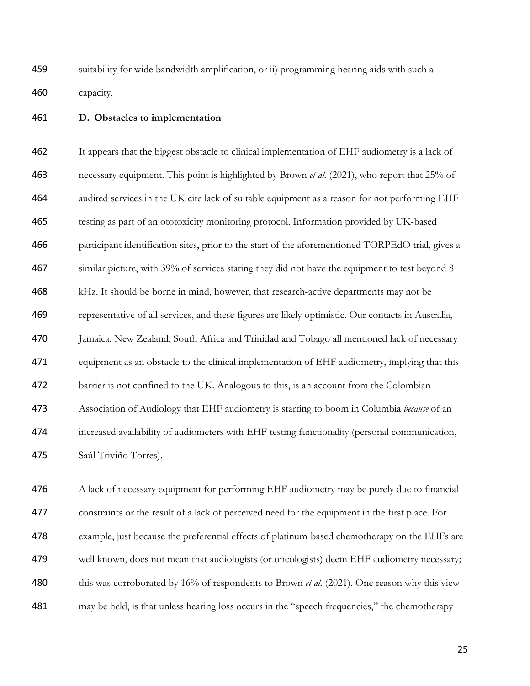suitability for wide bandwidth amplification, or ii) programming hearing aids with such a capacity.

### **D. Obstacles to implementation**

 It appears that the biggest obstacle to clinical implementation of EHF audiometry is a lack of necessary equipment. This point is highlighted by Brown *et al.* (2021), who report that 25% of audited services in the UK cite lack of suitable equipment as a reason for not performing EHF testing as part of an ototoxicity monitoring protocol. Information provided by UK-based participant identification sites, prior to the start of the aforementioned TORPEdO trial, gives a similar picture, with 39% of services stating they did not have the equipment to test beyond 8 kHz. It should be borne in mind, however, that research-active departments may not be representative of all services, and these figures are likely optimistic. Our contacts in Australia, Jamaica, New Zealand, South Africa and Trinidad and Tobago all mentioned lack of necessary equipment as an obstacle to the clinical implementation of EHF audiometry, implying that this barrier is not confined to the UK. Analogous to this, is an account from the Colombian Association of Audiology that EHF audiometry is starting to boom in Columbia *because* of an increased availability of audiometers with EHF testing functionality (personal communication, Saúl Triviño Torres).

 A lack of necessary equipment for performing EHF audiometry may be purely due to financial constraints or the result of a lack of perceived need for the equipment in the first place. For example, just because the preferential effects of platinum-based chemotherapy on the EHFs are well known, does not mean that audiologists (or oncologists) deem EHF audiometry necessary; 480 this was corroborated by 16% of respondents to Brown *et al.* (2021). One reason why this view may be held, is that unless hearing loss occurs in the "speech frequencies," the chemotherapy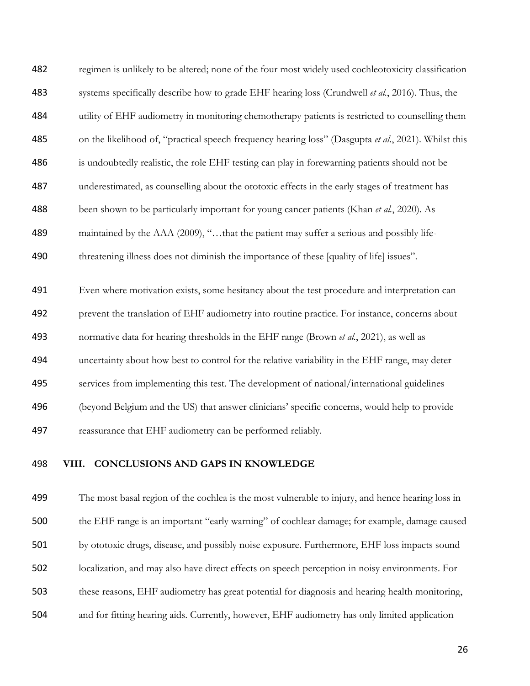regimen is unlikely to be altered; none of the four most widely used cochleotoxicity classification systems specifically describe how to grade EHF hearing loss (Crundwell *et al.*, 2016). Thus, the utility of EHF audiometry in monitoring chemotherapy patients is restricted to counselling them on the likelihood of, "practical speech frequency hearing loss" (Dasgupta *et al.*, 2021). Whilst this is undoubtedly realistic, the role EHF testing can play in forewarning patients should not be underestimated, as counselling about the ototoxic effects in the early stages of treatment has been shown to be particularly important for young cancer patients (Khan *et al.*, 2020). As 489 maintained by the AAA (2009), "...that the patient may suffer a serious and possibly life-threatening illness does not diminish the importance of these [quality of life] issues".

 Even where motivation exists, some hesitancy about the test procedure and interpretation can prevent the translation of EHF audiometry into routine practice. For instance, concerns about normative data for hearing thresholds in the EHF range (Brown *et al.*, 2021), as well as uncertainty about how best to control for the relative variability in the EHF range, may deter services from implementing this test. The development of national/international guidelines (beyond Belgium and the US) that answer clinicians' specific concerns, would help to provide reassurance that EHF audiometry can be performed reliably.

### **VIII. CONCLUSIONS AND GAPS IN KNOWLEDGE**

 The most basal region of the cochlea is the most vulnerable to injury, and hence hearing loss in the EHF range is an important "early warning" of cochlear damage; for example, damage caused by ototoxic drugs, disease, and possibly noise exposure. Furthermore, EHF loss impacts sound localization, and may also have direct effects on speech perception in noisy environments. For these reasons, EHF audiometry has great potential for diagnosis and hearing health monitoring, and for fitting hearing aids. Currently, however, EHF audiometry has only limited application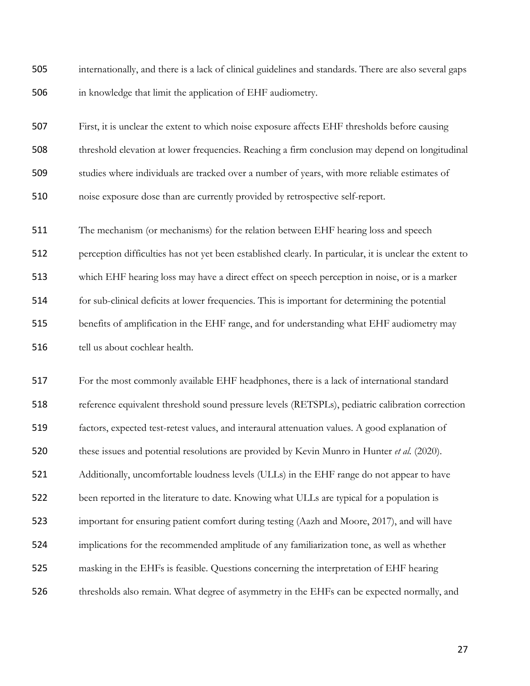internationally, and there is a lack of clinical guidelines and standards. There are also several gaps in knowledge that limit the application of EHF audiometry.

 First, it is unclear the extent to which noise exposure affects EHF thresholds before causing threshold elevation at lower frequencies. Reaching a firm conclusion may depend on longitudinal studies where individuals are tracked over a number of years, with more reliable estimates of noise exposure dose than are currently provided by retrospective self-report.

 The mechanism (or mechanisms) for the relation between EHF hearing loss and speech perception difficulties has not yet been established clearly. In particular, it is unclear the extent to which EHF hearing loss may have a direct effect on speech perception in noise, or is a marker for sub-clinical deficits at lower frequencies. This is important for determining the potential benefits of amplification in the EHF range, and for understanding what EHF audiometry may tell us about cochlear health.

 For the most commonly available EHF headphones, there is a lack of international standard reference equivalent threshold sound pressure levels (RETSPLs), pediatric calibration correction factors, expected test-retest values, and interaural attenuation values. A good explanation of these issues and potential resolutions are provided by Kevin Munro in Hunter *et al.* (2020). Additionally, uncomfortable loudness levels (ULLs) in the EHF range do not appear to have 522 been reported in the literature to date. Knowing what ULLs are typical for a population is important for ensuring patient comfort during testing (Aazh and Moore, 2017), and will have implications for the recommended amplitude of any familiarization tone, as well as whether masking in the EHFs is feasible. Questions concerning the interpretation of EHF hearing thresholds also remain. What degree of asymmetry in the EHFs can be expected normally, and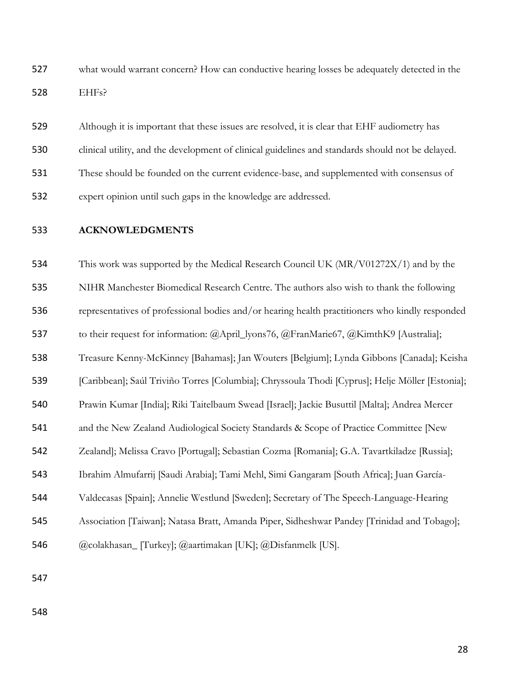what would warrant concern? How can conductive hearing losses be adequately detected in the EHFs?

 Although it is important that these issues are resolved, it is clear that EHF audiometry has clinical utility, and the development of clinical guidelines and standards should not be delayed. These should be founded on the current evidence-base, and supplemented with consensus of expert opinion until such gaps in the knowledge are addressed.

### **ACKNOWLEDGMENTS**

 This work was supported by the Medical Research Council UK (MR/V01272X/1) and by the NIHR Manchester Biomedical Research Centre. The authors also wish to thank the following representatives of professional bodies and/or hearing health practitioners who kindly responded to their request for information: @April\_lyons76, @FranMarie67, @KimthK9 [Australia]; Treasure Kenny-McKinney [Bahamas]; Jan Wouters [Belgium]; Lynda Gibbons [Canada]; Keisha [Caribbean]; Saúl Triviño Torres [Columbia]; Chryssoula Thodi [Cyprus]; Helje Möller [Estonia]; Prawin Kumar [India]; Riki Taitelbaum Swead [Israel]; Jackie Busuttil [Malta]; Andrea Mercer and the New Zealand Audiological Society Standards & Scope of Practice Committee [New Zealand]; Melissa Cravo [Portugal]; Sebastian Cozma [Romania]; G.A. Tavartkiladze [Russia]; Ibrahim Almufarrij [Saudi Arabia]; Tami Mehl, Simi Gangaram [South Africa]; Juan García- Valdecasas [Spain]; Annelie Westlund [Sweden]; Secretary of The Speech-Language-Hearing Association [Taiwan]; Natasa Bratt, Amanda Piper, Sidheshwar Pandey [Trinidad and Tobago]; @colakhasan\_ [Turkey]; @aartimakan [UK]; @Disfanmelk [US].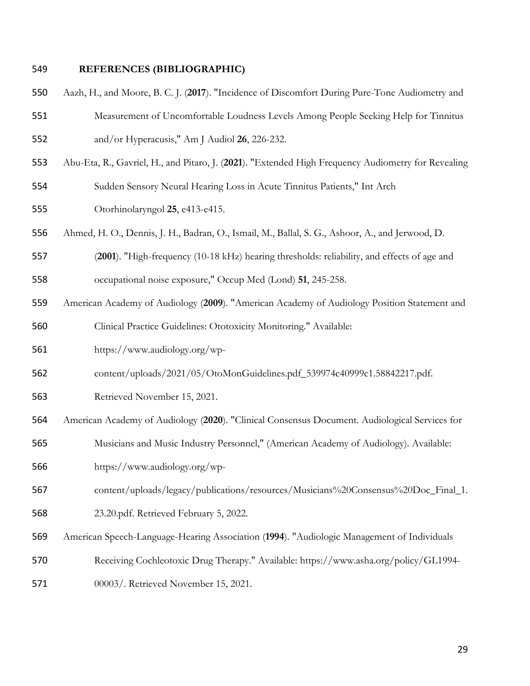### **REFERENCES (BIBLIOGRAPHIC)**

- Aazh, H., and Moore, B. C. J. (**2017**). "Incidence of Discomfort During Pure-Tone Audiometry and
- Measurement of Uncomfortable Loudness Levels Among People Seeking Help for Tinnitus and/or Hyperacusis," Am J Audiol **26**, 226-232.
- Abu-Eta, R., Gavriel, H., and Pitaro, J. (**2021**). "Extended High Frequency Audiometry for Revealing
- Sudden Sensory Neural Hearing Loss in Acute Tinnitus Patients," Int Arch
- Otorhinolaryngol **25**, e413-e415.
- Ahmed, H. O., Dennis, J. H., Badran, O., Ismail, M., Ballal, S. G., Ashoor, A., and Jerwood, D.
- (**2001**). "High-frequency (10-18 kHz) hearing thresholds: reliability, and effects of age and
- occupational noise exposure," Occup Med (Lond) **51**, 245-258.
- American Academy of Audiology (**2009**). "American Academy of Audiology Position Statement and Clinical Practice Guidelines: Ototoxicity Monitoring." Available:
- https://www.audiology.org/wp-
- content/uploads/2021/05/OtoMonGuidelines.pdf\_539974c40999c1.58842217.pdf.
- Retrieved November 15, 2021.
- American Academy of Audiology (**2020**). "Clinical Consensus Document. Audiological Services for
- Musicians and Music Industry Personnel," (American Academy of Audiology). Available:
- https://www.audiology.org/wp-
- content/uploads/legacy/publications/resources/Musicians%20Consensus%20Doc\_Final\_1.
- 23.20.pdf. Retrieved February 5, 2022.
- American Speech-Language-Hearing Association (**1994**). "Audiologic Management of Individuals
- Receiving Cochleotoxic Drug Therapy." Available: https://www.asha.org/policy/GL1994-
- 00003/. Retrieved November 15, 2021.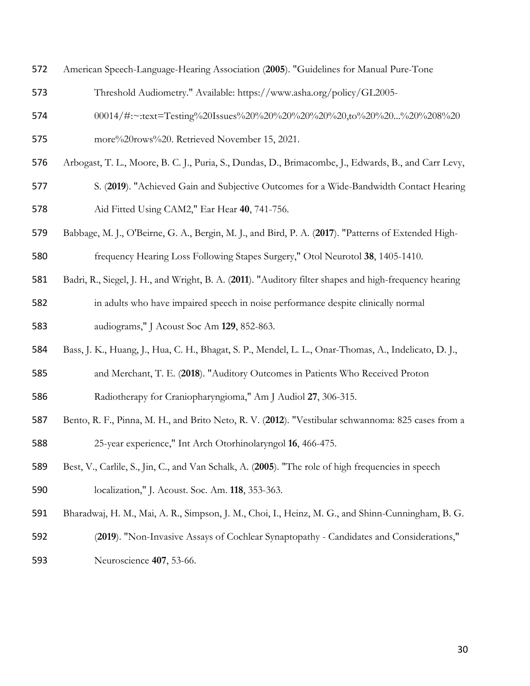- American Speech-Language-Hearing Association (**2005**). "Guidelines for Manual Pure-Tone
- Threshold Audiometry." Available: https://www.asha.org/policy/GL2005-
- 00014/#:~:text=Testing%20Issues%20%20%20%20%20%20,to%20%20...%20%208%20
- more%20rows%20. Retrieved November 15, 2021.
- Arbogast, T. L., Moore, B. C. J., Puria, S., Dundas, D., Brimacombe, J., Edwards, B., and Carr Levy,
- S. (**2019**). "Achieved Gain and Subjective Outcomes for a Wide-Bandwidth Contact Hearing Aid Fitted Using CAM2," Ear Hear **40**, 741-756.
- Babbage, M. J., O'Beirne, G. A., Bergin, M. J., and Bird, P. A. (**2017**). "Patterns of Extended High-frequency Hearing Loss Following Stapes Surgery," Otol Neurotol **38**, 1405-1410.
- Badri, R., Siegel, J. H., and Wright, B. A. (**2011**). "Auditory filter shapes and high-frequency hearing in adults who have impaired speech in noise performance despite clinically normal audiograms," J Acoust Soc Am **129**, 852-863.
- Bass, J. K., Huang, J., Hua, C. H., Bhagat, S. P., Mendel, L. L., Onar-Thomas, A., Indelicato, D. J.,
- and Merchant, T. E. (**2018**). "Auditory Outcomes in Patients Who Received Proton
- Radiotherapy for Craniopharyngioma," Am J Audiol **27**, 306-315.
- Bento, R. F., Pinna, M. H., and Brito Neto, R. V. (**2012**). "Vestibular schwannoma: 825 cases from a 25-year experience," Int Arch Otorhinolaryngol **16**, 466-475.
- Best, V., Carlile, S., Jin, C., and Van Schalk, A. (**2005**). "The role of high frequencies in speech localization," J. Acoust. Soc. Am. **118**, 353-363.
- Bharadwaj, H. M., Mai, A. R., Simpson, J. M., Choi, I., Heinz, M. G., and Shinn-Cunningham, B. G.
- (**2019**). "Non-Invasive Assays of Cochlear Synaptopathy Candidates and Considerations," Neuroscience **407**, 53-66.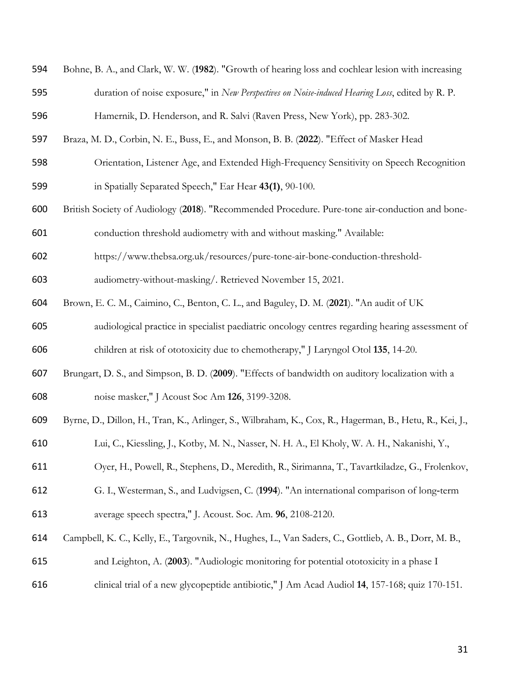| 594 | Bohne, B. A., and Clark, W. W. (1982). "Growth of hearing loss and cochlear lesion with increasing      |
|-----|---------------------------------------------------------------------------------------------------------|
| 595 | duration of noise exposure," in New Perspectives on Noise-induced Hearing Loss, edited by R. P.         |
| 596 | Hamernik, D. Henderson, and R. Salvi (Raven Press, New York), pp. 283-302.                              |
| 597 | Braza, M. D., Corbin, N. E., Buss, E., and Monson, B. B. (2022). "Effect of Masker Head                 |
| 598 | Orientation, Listener Age, and Extended High-Frequency Sensitivity on Speech Recognition                |
| 599 | in Spatially Separated Speech," Ear Hear 43(1), 90-100.                                                 |
| 600 | British Society of Audiology (2018). "Recommended Procedure. Pure-tone air-conduction and bone-         |
| 601 | conduction threshold audiometry with and without masking." Available:                                   |
| 602 | https://www.thebsa.org.uk/resources/pure-tone-air-bone-conduction-threshold-                            |
| 603 | audiometry-without-masking/. Retrieved November 15, 2021.                                               |
| 604 | Brown, E. C. M., Caimino, C., Benton, C. L., and Baguley, D. M. (2021). "An audit of UK                 |
| 605 | audiological practice in specialist paediatric oncology centres regarding hearing assessment of         |
| 606 | children at risk of ototoxicity due to chemotherapy," J Laryngol Otol 135, 14-20.                       |
| 607 | Brungart, D. S., and Simpson, B. D. (2009). "Effects of bandwidth on auditory localization with a       |
| 608 | noise masker," J Acoust Soc Am 126, 3199-3208.                                                          |
| 609 | Byrne, D., Dillon, H., Tran, K., Arlinger, S., Wilbraham, K., Cox, R., Hagerman, B., Hetu, R., Kei, J., |
| 610 | Lui, C., Kiessling, J., Kotby, M. N., Nasser, N. H. A., El Kholy, W. A. H., Nakanishi, Y.,              |
| 611 | Oyer, H., Powell, R., Stephens, D., Meredith, R., Sirimanna, T., Tavartkiladze, G., Frolenkov,          |
| 612 | G. I., Westerman, S., and Ludvigsen, C. (1994). "An international comparison of long-term               |
| 613 | average speech spectra," J. Acoust. Soc. Am. 96, 2108-2120.                                             |
| 614 | Campbell, K. C., Kelly, E., Targovnik, N., Hughes, L., Van Saders, C., Gottlieb, A. B., Dorr, M. B.,    |
| 615 | and Leighton, A. (2003). "Audiologic monitoring for potential ototoxicity in a phase I                  |
| 616 | clinical trial of a new glycopeptide antibiotic," J Am Acad Audiol 14, 157-168; quiz 170-151.           |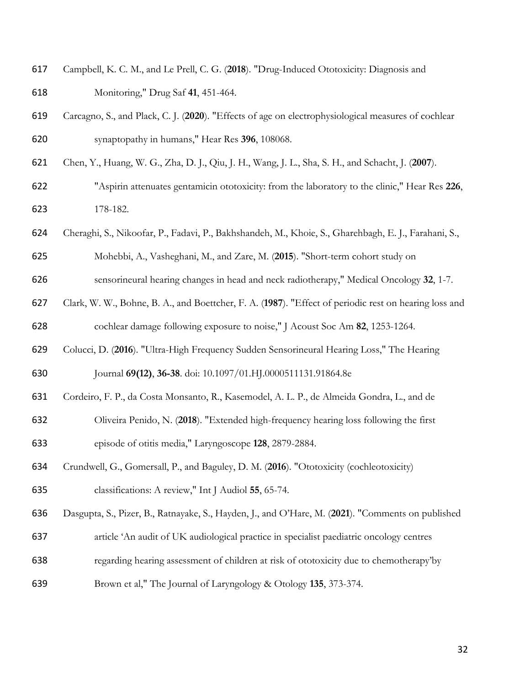- Campbell, K. C. M., and Le Prell, C. G. (**2018**). "Drug-Induced Ototoxicity: Diagnosis and Monitoring," Drug Saf **41**, 451-464.
- Carcagno, S., and Plack, C. J. (**2020**). "Effects of age on electrophysiological measures of cochlear synaptopathy in humans," Hear Res **396**, 108068.
- Chen, Y., Huang, W. G., Zha, D. J., Qiu, J. H., Wang, J. L., Sha, S. H., and Schacht, J. (**2007**).
- "Aspirin attenuates gentamicin ototoxicity: from the laboratory to the clinic," Hear Res **226**, 178-182.
- Cheraghi, S., Nikoofar, P., Fadavi, P., Bakhshandeh, M., Khoie, S., Gharehbagh, E. J., Farahani, S.,
- Mohebbi, A., Vasheghani, M., and Zare, M. (**2015**). "Short-term cohort study on
- sensorineural hearing changes in head and neck radiotherapy," Medical Oncology **32**, 1-7.
- Clark, W. W., Bohne, B. A., and Boettcher, F. A. (**1987**). "Effect of periodic rest on hearing loss and cochlear damage following exposure to noise," J Acoust Soc Am **82**, 1253-1264.
- Colucci, D. (**2016**). "Ultra-High Frequency Sudden Sensorineural Hearing Loss," The Hearing

Journal **69(12)**, **36-38**. doi: 10.1097/01.HJ.0000511131.91864.8e

- Cordeiro, F. P., da Costa Monsanto, R., Kasemodel, A. L. P., de Almeida Gondra, L., and de
- Oliveira Penido, N. (**2018**). "Extended high-frequency hearing loss following the first episode of otitis media," Laryngoscope **128**, 2879-2884.
- Crundwell, G., Gomersall, P., and Baguley, D. M. (**2016**). "Ototoxicity (cochleotoxicity) classifications: A review," Int J Audiol **55**, 65-74.
- Dasgupta, S., Pizer, B., Ratnayake, S., Hayden, J., and O'Hare, M. (**2021**). "Comments on published
- article 'An audit of UK audiological practice in specialist paediatric oncology centres
- regarding hearing assessment of children at risk of ototoxicity due to chemotherapy'by
- Brown et al," The Journal of Laryngology & Otology **135**, 373-374.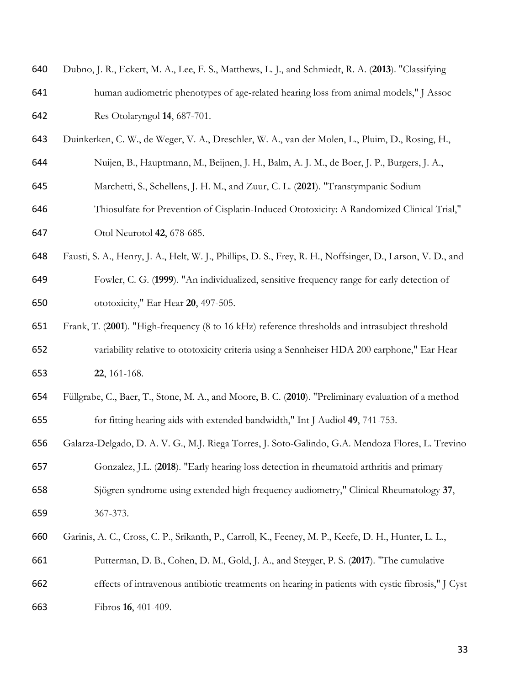| 640 | Dubno, J. R., Eckert, M. A., Lee, F. S., Matthews, L. J., and Schmiedt, R. A. (2013). "Classifying         |
|-----|------------------------------------------------------------------------------------------------------------|
| 641 | human audiometric phenotypes of age-related hearing loss from animal models," J Assoc                      |
| 642 | Res Otolaryngol 14, 687-701.                                                                               |
| 643 | Duinkerken, C. W., de Weger, V. A., Dreschler, W. A., van der Molen, L., Pluim, D., Rosing, H.,            |
| 644 | Nuijen, B., Hauptmann, M., Beijnen, J. H., Balm, A. J. M., de Boer, J. P., Burgers, J. A.,                 |
| 645 | Marchetti, S., Schellens, J. H. M., and Zuur, C. L. (2021). "Transtympanic Sodium                          |
| 646 | Thiosulfate for Prevention of Cisplatin-Induced Ototoxicity: A Randomized Clinical Trial,"                 |
| 647 | Otol Neurotol 42, 678-685.                                                                                 |
| 648 | Fausti, S. A., Henry, J. A., Helt, W. J., Phillips, D. S., Frey, R. H., Noffsinger, D., Larson, V. D., and |
| 649 | Fowler, C. G. (1999). "An individualized, sensitive frequency range for early detection of                 |
| 650 | ototoxicity," Ear Hear 20, 497-505.                                                                        |
| 651 | Frank, T. (2001). "High-frequency (8 to 16 kHz) reference thresholds and intrasubject threshold            |
| 652 | variability relative to ototoxicity criteria using a Sennheiser HDA 200 earphone," Ear Hear                |
| 653 | 22, 161-168.                                                                                               |
| 654 | Füllgrabe, C., Baer, T., Stone, M. A., and Moore, B. C. (2010). "Preliminary evaluation of a method        |
| 655 | for fitting hearing aids with extended bandwidth," Int J Audiol 49, 741-753.                               |
| 656 | Galarza-Delgado, D. A. V. G., M.J. Riega Torres, J. Soto-Galindo, G.A. Mendoza Flores, L. Trevino          |
| 657 | Gonzalez, J.L. (2018). "Early hearing loss detection in rheumatoid arthritis and primary                   |
| 658 | Sjögren syndrome using extended high frequency audiometry," Clinical Rheumatology 37,                      |
| 659 | 367-373.                                                                                                   |
| 660 | Garinis, A. C., Cross, C. P., Srikanth, P., Carroll, K., Feeney, M. P., Keefe, D. H., Hunter, L. L.,       |
| 661 | Putterman, D. B., Cohen, D. M., Gold, J. A., and Steyger, P. S. (2017). "The cumulative                    |
| 662 | effects of intravenous antibiotic treatments on hearing in patients with cystic fibrosis," J Cyst          |
| 663 | Fibros 16, 401-409.                                                                                        |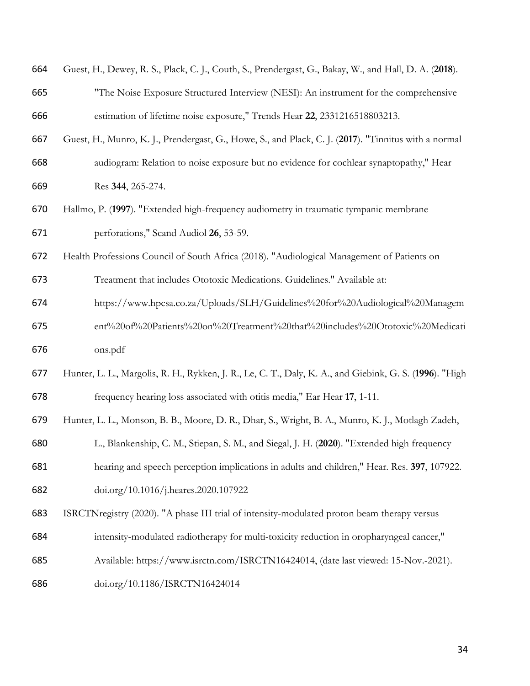| 664 | Guest, H., Dewey, R. S., Plack, C. J., Couth, S., Prendergast, G., Bakay, W., and Hall, D. A. (2018).   |
|-----|---------------------------------------------------------------------------------------------------------|
| 665 | "The Noise Exposure Structured Interview (NESI): An instrument for the comprehensive                    |
| 666 | estimation of lifetime noise exposure," Trends Hear 22, 2331216518803213.                               |
| 667 | Guest, H., Munro, K. J., Prendergast, G., Howe, S., and Plack, C. J. (2017). "Tinnitus with a normal    |
| 668 | audiogram: Relation to noise exposure but no evidence for cochlear synaptopathy," Hear                  |
| 669 | Res 344, 265-274.                                                                                       |
| 670 | Hallmo, P. (1997). "Extended high-frequency audiometry in traumatic tympanic membrane                   |
| 671 | perforations," Scand Audiol 26, 53-59.                                                                  |
| 672 | Health Professions Council of South Africa (2018). "Audiological Management of Patients on              |
| 673 | Treatment that includes Ototoxic Medications. Guidelines." Available at:                                |
| 674 | https://www.hpcsa.co.za/Uploads/SLH/Guidelines%20for%20Audiological%20Managem                           |
| 675 | ent%20of%20Patients%20on%20Treatment%20that%20includes%20Ototoxic%20Medicati                            |
| 676 | ons.pdf                                                                                                 |
| 677 | Hunter, L. L., Margolis, R. H., Rykken, J. R., Le, C. T., Daly, K. A., and Giebink, G. S. (1996). "High |
| 678 | frequency hearing loss associated with otitis media," Ear Hear 17, 1-11.                                |
| 679 | Hunter, L. L., Monson, B. B., Moore, D. R., Dhar, S., Wright, B. A., Munro, K. J., Motlagh Zadeh,       |
| 680 | L., Blankenship, C. M., Stiepan, S. M., and Siegal, J. H. (2020). "Extended high frequency              |
| 681 | hearing and speech perception implications in adults and children," Hear. Res. 397, 107922.             |
| 682 | doi.org/10.1016/j.heares.2020.107922                                                                    |
| 683 | ISRCTNregistry (2020). "A phase III trial of intensity-modulated proton beam therapy versus             |
| 684 | intensity-modulated radiotherapy for multi-toxicity reduction in oropharyngeal cancer,"                 |
| 685 | Available: https://www.isrctn.com/ISRCTN16424014, (date last viewed: 15-Nov.-2021).                     |
| 686 | doi.org/10.1186/ISRCTN16424014                                                                          |
|     |                                                                                                         |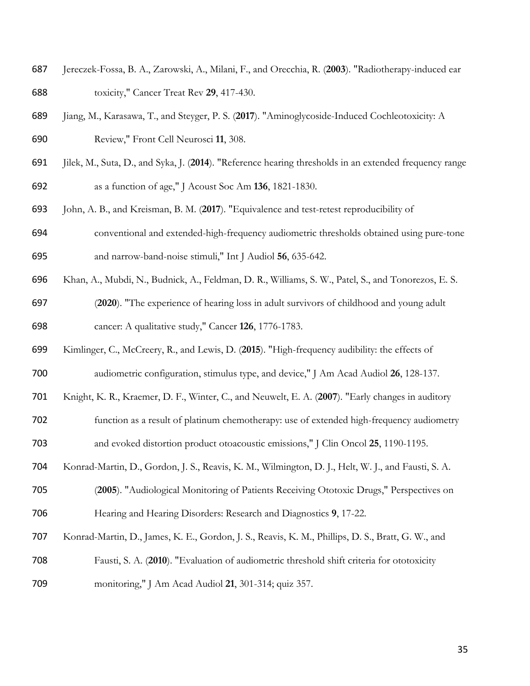- Jereczek-Fossa, B. A., Zarowski, A., Milani, F., and Orecchia, R. (**2003**). "Radiotherapy-induced ear toxicity," Cancer Treat Rev **29**, 417-430.
- Jiang, M., Karasawa, T., and Steyger, P. S. (**2017**). "Aminoglycoside-Induced Cochleotoxicity: A Review," Front Cell Neurosci **11**, 308.
- Jilek, M., Suta, D., and Syka, J. (**2014**). "Reference hearing thresholds in an extended frequency range as a function of age," J Acoust Soc Am **136**, 1821-1830.
- John, A. B., and Kreisman, B. M. (**2017**). "Equivalence and test-retest reproducibility of
- conventional and extended-high-frequency audiometric thresholds obtained using pure-tone and narrow-band-noise stimuli," Int J Audiol **56**, 635-642.
- Khan, A., Mubdi, N., Budnick, A., Feldman, D. R., Williams, S. W., Patel, S., and Tonorezos, E. S.
- (**2020**). "The experience of hearing loss in adult survivors of childhood and young adult cancer: A qualitative study," Cancer **126**, 1776-1783.
- Kimlinger, C., McCreery, R., and Lewis, D. (**2015**). "High-frequency audibility: the effects of audiometric configuration, stimulus type, and device," J Am Acad Audiol **26**, 128-137.
- Knight, K. R., Kraemer, D. F., Winter, C., and Neuwelt, E. A. (**2007**). "Early changes in auditory
- function as a result of platinum chemotherapy: use of extended high-frequency audiometry and evoked distortion product otoacoustic emissions," J Clin Oncol **25**, 1190-1195.
- Konrad-Martin, D., Gordon, J. S., Reavis, K. M., Wilmington, D. J., Helt, W. J., and Fausti, S. A.
- (**2005**). "Audiological Monitoring of Patients Receiving Ototoxic Drugs," Perspectives on Hearing and Hearing Disorders: Research and Diagnostics **9**, 17-22.
- Konrad-Martin, D., James, K. E., Gordon, J. S., Reavis, K. M., Phillips, D. S., Bratt, G. W., and
- Fausti, S. A. (**2010**). "Evaluation of audiometric threshold shift criteria for ototoxicity
- monitoring," J Am Acad Audiol **21**, 301-314; quiz 357.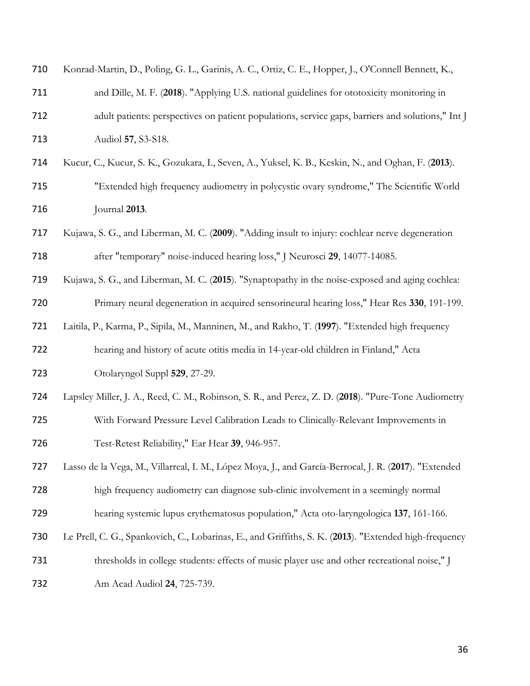| 710 | Konrad-Martin, D., Poling, G. L., Garinis, A. C., Ortiz, C. E., Hopper, J., O'Connell Bennett, K.,    |
|-----|-------------------------------------------------------------------------------------------------------|
| 711 | and Dille, M. F. (2018). "Applying U.S. national guidelines for ototoxicity monitoring in             |
| 712 | adult patients: perspectives on patient populations, service gaps, barriers and solutions," Int J     |
| 713 | Audiol 57, S3-S18.                                                                                    |
| 714 | Kucur, C., Kucur, S. K., Gozukara, I., Seven, A., Yuksel, K. B., Keskin, N., and Oghan, F. (2013).    |
| 715 | "Extended high frequency audiometry in polycystic ovary syndrome," The Scientific World               |
| 716 | Journal 2013.                                                                                         |
| 717 | Kujawa, S. G., and Liberman, M. C. (2009). "Adding insult to injury: cochlear nerve degeneration      |
| 718 | after "temporary" noise-induced hearing loss," J Neurosci 29, 14077-14085.                            |
| 719 | Kujawa, S. G., and Liberman, M. C. (2015). "Synaptopathy in the noise-exposed and aging cochlea:      |
| 720 | Primary neural degeneration in acquired sensorineural hearing loss," Hear Res 330, 191-199.           |
| 721 | Laitila, P., Karma, P., Sipila, M., Manninen, M., and Rakho, T. (1997). "Extended high frequency      |
| 722 | hearing and history of acute otitis media in 14-year-old children in Finland," Acta                   |
| 723 | Otolaryngol Suppl 529, 27-29.                                                                         |
| 724 | Lapsley Miller, J. A., Reed, C. M., Robinson, S. R., and Perez, Z. D. (2018). "Pure-Tone Audiometry   |
| 725 | With Forward Pressure Level Calibration Leads to Clinically-Relevant Improvements in                  |
| 726 | Test-Retest Reliability," Ear Hear 39, 946-957.                                                       |
| 727 | Lasso de la Vega, M., Villarreal, I. M., López Moya, J., and García-Berrocal, J. R. (2017). "Extended |
| 728 | high frequency audiometry can diagnose sub-clinic involvement in a seemingly normal                   |
| 729 | hearing systemic lupus erythematosus population," Acta oto-laryngologica 137, 161-166.                |
| 730 | Le Prell, C. G., Spankovich, C., Lobarinas, E., and Griffiths, S. K. (2013). "Extended high-frequency |
| 731 | thresholds in college students: effects of music player use and other recreational noise," J          |
| 732 | Am Acad Audiol 24, 725-739.                                                                           |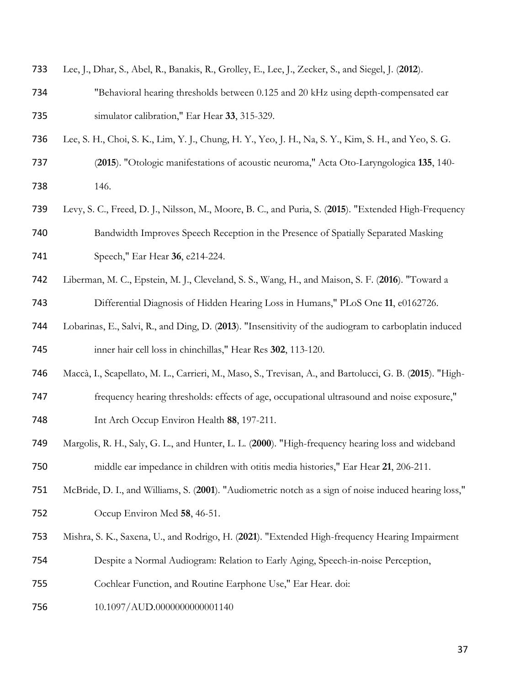| 733 | Lee, J., Dhar, S., Abel, R., Banakis, R., Grolley, E., Lee, J., Zecker, S., and Siegel, J. (2012).       |
|-----|----------------------------------------------------------------------------------------------------------|
| 734 | "Behavioral hearing thresholds between 0.125 and 20 kHz using depth-compensated ear                      |
| 735 | simulator calibration," Ear Hear 33, 315-329.                                                            |
| 736 | Lee, S. H., Choi, S. K., Lim, Y. J., Chung, H. Y., Yeo, J. H., Na, S. Y., Kim, S. H., and Yeo, S. G.     |
| 737 | (2015). "Otologic manifestations of acoustic neuroma," Acta Oto-Laryngologica 135, 140-                  |
| 738 | 146.                                                                                                     |
| 739 | Levy, S. C., Freed, D. J., Nilsson, M., Moore, B. C., and Puria, S. (2015). "Extended High-Frequency     |
| 740 | Bandwidth Improves Speech Reception in the Presence of Spatially Separated Masking                       |
| 741 | Speech," Ear Hear 36, e214-224.                                                                          |
| 742 | Liberman, M. C., Epstein, M. J., Cleveland, S. S., Wang, H., and Maison, S. F. (2016). "Toward a         |
| 743 | Differential Diagnosis of Hidden Hearing Loss in Humans," PLoS One 11, e0162726.                         |
| 744 | Lobarinas, E., Salvi, R., and Ding, D. (2013). "Insensitivity of the audiogram to carboplatin induced    |
| 745 | inner hair cell loss in chinchillas," Hear Res 302, 113-120.                                             |
| 746 | Maccà, I., Scapellato, M. L., Carrieri, M., Maso, S., Trevisan, A., and Bartolucci, G. B. (2015). "High- |
| 747 | frequency hearing thresholds: effects of age, occupational ultrasound and noise exposure,"               |
| 748 | Int Arch Occup Environ Health 88, 197-211.                                                               |
| 749 | Margolis, R. H., Saly, G. L., and Hunter, L. L. (2000). "High-frequency hearing loss and wideband        |
| 750 | middle ear impedance in children with otitis media histories," Ear Hear 21, 206-211.                     |
| 751 | McBride, D. I., and Williams, S. (2001). "Audiometric notch as a sign of noise induced hearing loss,"    |
| 752 | Occup Environ Med 58, 46-51.                                                                             |
| 753 | Mishra, S. K., Saxena, U., and Rodrigo, H. (2021). "Extended High-frequency Hearing Impairment           |
| 754 | Despite a Normal Audiogram: Relation to Early Aging, Speech-in-noise Perception,                         |
| 755 | Cochlear Function, and Routine Earphone Use," Ear Hear. doi:                                             |
| 756 | 10.1097/AUD.0000000000001140                                                                             |
|     |                                                                                                          |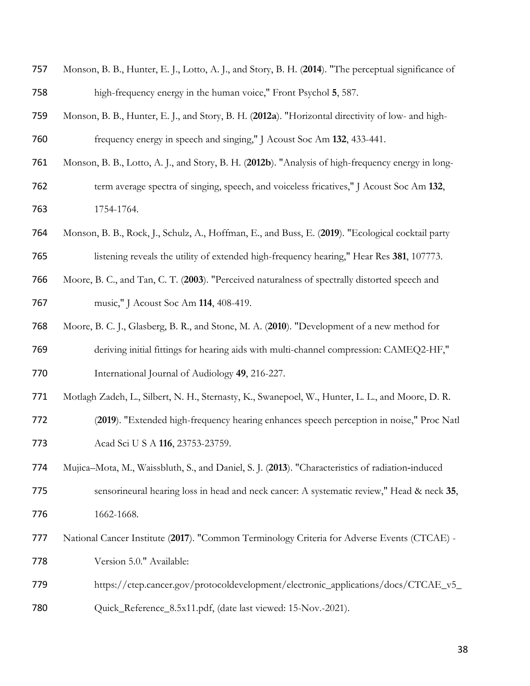| 758 | high-frequency energy in the human voice," Front Psychol 5, 587.                                   |
|-----|----------------------------------------------------------------------------------------------------|
| 759 | Monson, B. B., Hunter, E. J., and Story, B. H. (2012a). "Horizontal directivity of low- and high-  |
| 760 | frequency energy in speech and singing," J Acoust Soc Am 132, 433-441.                             |
| 761 | Monson, B. B., Lotto, A. J., and Story, B. H. (2012b). "Analysis of high-frequency energy in long- |
| 762 | term average spectra of singing, speech, and voiceless fricatives," J Acoust Soc Am 132,           |
| 763 | 1754-1764.                                                                                         |
| 764 | Monson, B. B., Rock, J., Schulz, A., Hoffman, E., and Buss, E. (2019). "Ecological cocktail party  |
| 765 | listening reveals the utility of extended high-frequency hearing," Hear Res 381, 107773.           |
| 766 | Moore, B. C., and Tan, C. T. (2003). "Perceived naturalness of spectrally distorted speech and     |
| 767 | music," J Acoust Soc Am 114, 408-419.                                                              |
| 768 | Moore, B. C. J., Glasberg, B. R., and Stone, M. A. (2010). "Development of a new method for        |
| 769 | deriving initial fittings for hearing aids with multi-channel compression: CAMEQ2-HF,"             |
| 770 | International Journal of Audiology 49, 216-227.                                                    |
| 771 | Motlagh Zadeh, L., Silbert, N. H., Sternasty, K., Swanepoel, W., Hunter, L. L., and Moore, D. R.   |
| 772 | (2019). "Extended high-frequency hearing enhances speech perception in noise," Proc Natl           |
| 773 | Acad Sci U S A 116, 23753-23759.                                                                   |
| 774 | Mujica-Mota, M., Waissbluth, S., and Daniel, S. J. (2013). "Characteristics of radiation-induced   |
| 775 | sensorineural hearing loss in head and neck cancer: A systematic review," Head & neck 35,          |
| 776 | 1662-1668.                                                                                         |
| 777 | National Cancer Institute (2017). "Common Terminology Criteria for Adverse Events (CTCAE) -        |
| 778 | Version 5.0." Available:                                                                           |
| 779 | https://ctep.cancer.gov/protocoldevelopment/electronic_applications/docs/CTCAE_v5_                 |
| 780 | Quick_Reference_8.5x11.pdf, (date last viewed: 15-Nov.-2021).                                      |

Monson, B. B., Hunter, E. J., Lotto, A. J., and Story, B. H. (**2014**). "The perceptual significance of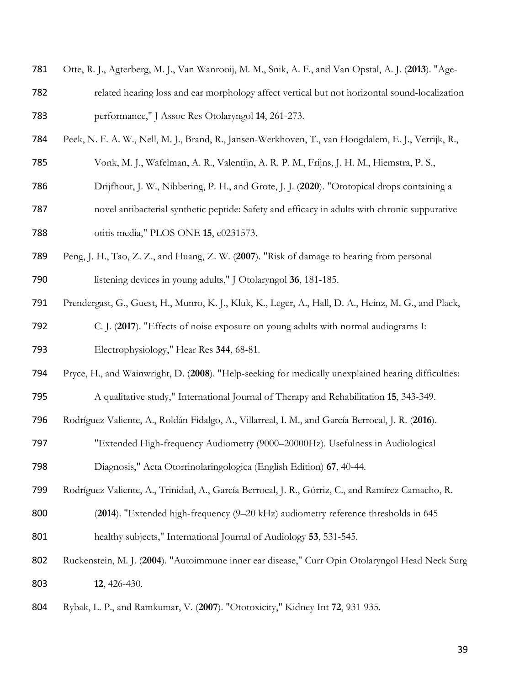- Otte, R. J., Agterberg, M. J., Van Wanrooij, M. M., Snik, A. F., and Van Opstal, A. J. (**2013**). "Age-
- related hearing loss and ear morphology affect vertical but not horizontal sound-localization performance," J Assoc Res Otolaryngol **14**, 261-273.
- Peek, N. F. A. W., Nell, M. J., Brand, R., Jansen-Werkhoven, T., van Hoogdalem, E. J., Verrijk, R.,
- Vonk, M. J., Wafelman, A. R., Valentijn, A. R. P. M., Frijns, J. H. M., Hiemstra, P. S.,
- Drijfhout, J. W., Nibbering, P. H., and Grote, J. J. (**2020**). "Ototopical drops containing a
- novel antibacterial synthetic peptide: Safety and efficacy in adults with chronic suppurative otitis media," PLOS ONE **15**, e0231573.
- Peng, J. H., Tao, Z. Z., and Huang, Z. W. (**2007**). "Risk of damage to hearing from personal
- listening devices in young adults," J Otolaryngol **36**, 181-185.
- Prendergast, G., Guest, H., Munro, K. J., Kluk, K., Leger, A., Hall, D. A., Heinz, M. G., and Plack,
- C. J. (**2017**). "Effects of noise exposure on young adults with normal audiograms I: Electrophysiology," Hear Res **344**, 68-81.
- Pryce, H., and Wainwright, D. (**2008**). "Help-seeking for medically unexplained hearing difficulties:
- A qualitative study," International Journal of Therapy and Rehabilitation **15**, 343-349.
- Rodríguez Valiente, A., Roldán Fidalgo, A., Villarreal, I. M., and García Berrocal, J. R. (**2016**).
- "Extended High-frequency Audiometry (9000–20000Hz). Usefulness in Audiological
- Diagnosis," Acta Otorrinolaringologica (English Edition) **67**, 40-44.
- Rodríguez Valiente, A., Trinidad, A., García Berrocal, J. R., Górriz, C., and Ramírez Camacho, R.
- (**2014**). "Extended high-frequency (9–20 kHz) audiometry reference thresholds in 645
- healthy subjects," International Journal of Audiology **53**, 531-545.
- Ruckenstein, M. J. (**2004**). "Autoimmune inner ear disease," Curr Opin Otolaryngol Head Neck Surg **12**, 426-430.
- Rybak, L. P., and Ramkumar, V. (**2007**). "Ototoxicity," Kidney Int **72**, 931-935.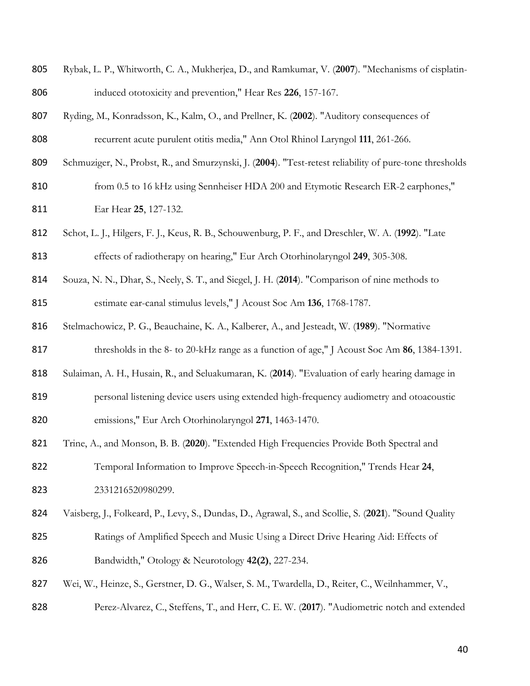| 805 | Rybak, L. P., Whitworth, C. A., Mukherjea, D., and Ramkumar, V. (2007). "Mechanisms of cisplatin- |
|-----|---------------------------------------------------------------------------------------------------|
| 806 | induced ototoxicity and prevention," Hear Res 226, 157-167.                                       |

- Ryding, M., Konradsson, K., Kalm, O., and Prellner, K. (**2002**). "Auditory consequences of recurrent acute purulent otitis media," Ann Otol Rhinol Laryngol **111**, 261-266.
- Schmuziger, N., Probst, R., and Smurzynski, J. (**2004**). "Test-retest reliability of pure-tone thresholds
- 810 from 0.5 to 16 kHz using Sennheiser HDA 200 and Etymotic Research ER-2 earphones," Ear Hear **25**, 127-132.
- Schot, L. J., Hilgers, F. J., Keus, R. B., Schouwenburg, P. F., and Dreschler, W. A. (**1992**). "Late effects of radiotherapy on hearing," Eur Arch Otorhinolaryngol **249**, 305-308.
- Souza, N. N., Dhar, S., Neely, S. T., and Siegel, J. H. (**2014**). "Comparison of nine methods to estimate ear-canal stimulus levels," J Acoust Soc Am **136**, 1768-1787.
- Stelmachowicz, P. G., Beauchaine, K. A., Kalberer, A., and Jesteadt, W. (**1989**). "Normative
- thresholds in the 8- to 20-kHz range as a function of age," J Acoust Soc Am **86**, 1384-1391.
- Sulaiman, A. H., Husain, R., and Seluakumaran, K. (**2014**). "Evaluation of early hearing damage in
- personal listening device users using extended high-frequency audiometry and otoacoustic emissions," Eur Arch Otorhinolaryngol **271**, 1463-1470.
- Trine, A., and Monson, B. B. (**2020**). "Extended High Frequencies Provide Both Spectral and

 Temporal Information to Improve Speech-in-Speech Recognition," Trends Hear **24**, 2331216520980299.

- Vaisberg, J., Folkeard, P., Levy, S., Dundas, D., Agrawal, S., and Scollie, S. (**2021**). "Sound Quality Ratings of Amplified Speech and Music Using a Direct Drive Hearing Aid: Effects of Bandwidth," Otology & Neurotology **42(2)**, 227-234.
- Wei, W., Heinze, S., Gerstner, D. G., Walser, S. M., Twardella, D., Reiter, C., Weilnhammer, V.,
- Perez-Alvarez, C., Steffens, T., and Herr, C. E. W. (**2017**). "Audiometric notch and extended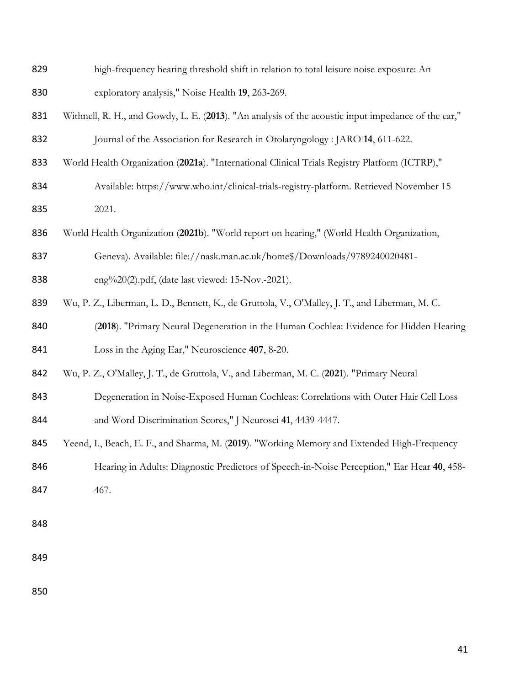- high-frequency hearing threshold shift in relation to total leisure noise exposure: An exploratory analysis," Noise Health **19**, 263-269.
- Withnell, R. H., and Gowdy, L. E. (**2013**). "An analysis of the acoustic input impedance of the ear," Journal of the Association for Research in Otolaryngology : JARO **14**, 611-622.
- World Health Organization (**2021a**). "International Clinical Trials Registry Platform (ICTRP),"
- 834 Available: https://www.who.int/clinical-trials-registry-platform. Retrieved November 15 2021.
- World Health Organization (**2021b**). "World report on hearing," (World Health Organization,
- Geneva). Available: file://nask.man.ac.uk/home\$/Downloads/9789240020481-
- eng%20(2).pdf, (date last viewed: 15-Nov.-2021).
- Wu, P. Z., Liberman, L. D., Bennett, K., de Gruttola, V., O'Malley, J. T., and Liberman, M. C.
- (**2018**). "Primary Neural Degeneration in the Human Cochlea: Evidence for Hidden Hearing Loss in the Aging Ear," Neuroscience **407**, 8-20.
- Wu, P. Z., O'Malley, J. T., de Gruttola, V., and Liberman, M. C. (**2021**). "Primary Neural
- 843 Degeneration in Noise-Exposed Human Cochleas: Correlations with Outer Hair Cell Loss
- and Word-Discrimination Scores," J Neurosci **41**, 4439-4447.
- Yeend, I., Beach, E. F., and Sharma, M. (**2019**). "Working Memory and Extended High-Frequency
- Hearing in Adults: Diagnostic Predictors of Speech-in-Noise Perception," Ear Hear **40**, 458-
- 847 467.
- 
-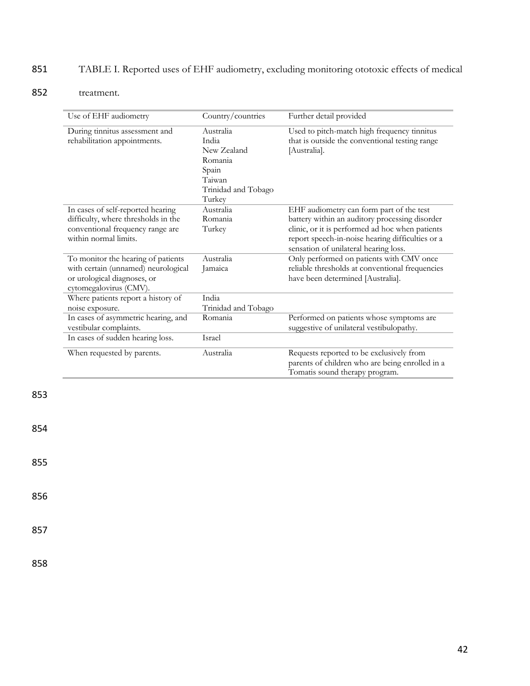# 851 TABLE I. Reported uses of EHF audiometry, excluding monitoring ototoxic effects of medical

## 852 treatment.

| Use of EHF audiometry                                                                                                                 | Country/countries                                                                                | Further detail provided                                                                                                                                                                                                                    |
|---------------------------------------------------------------------------------------------------------------------------------------|--------------------------------------------------------------------------------------------------|--------------------------------------------------------------------------------------------------------------------------------------------------------------------------------------------------------------------------------------------|
| During tinnitus assessment and<br>rehabilitation appointments.                                                                        | Australia<br>India<br>New Zealand<br>Romania<br>Spain<br>Taiwan<br>Trinidad and Tobago<br>Turkey | Used to pitch-match high frequency tinnitus<br>that is outside the conventional testing range<br>[Australia].                                                                                                                              |
| In cases of self-reported hearing<br>difficulty, where thresholds in the<br>conventional frequency range are<br>within normal limits. | Australia<br>Romania<br>Turkey                                                                   | EHF audiometry can form part of the test<br>battery within an auditory processing disorder<br>clinic, or it is performed ad hoc when patients<br>report speech-in-noise hearing difficulties or a<br>sensation of unilateral hearing loss. |
| To monitor the hearing of patients<br>with certain (unnamed) neurological<br>or urological diagnoses, or<br>cytomegalovirus (CMV).    | Australia<br>Jamaica                                                                             | Only performed on patients with CMV once<br>reliable thresholds at conventional frequencies<br>have been determined [Australia].                                                                                                           |
| Where patients report a history of<br>noise exposure.                                                                                 | India<br>Trinidad and Tobago                                                                     |                                                                                                                                                                                                                                            |
| In cases of asymmetric hearing, and<br>vestibular complaints.                                                                         | Romania                                                                                          | Performed on patients whose symptoms are<br>suggestive of unilateral vestibulopathy.                                                                                                                                                       |
| In cases of sudden hearing loss.                                                                                                      | Israel                                                                                           |                                                                                                                                                                                                                                            |
| When requested by parents.                                                                                                            | Australia                                                                                        | Requests reported to be exclusively from<br>parents of children who are being enrolled in a<br>Tomatis sound therapy program.                                                                                                              |